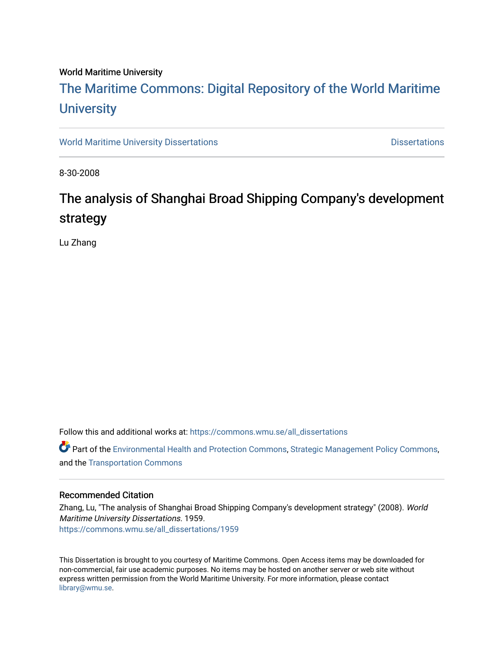#### World Maritime University

# [The Maritime Commons: Digital Repository of the World Maritime](https://commons.wmu.se/)  **University**

[World Maritime University Dissertations](https://commons.wmu.se/all_dissertations) **Distributions** [Dissertations](https://commons.wmu.se/dissertations) Dissertations

8-30-2008

# The analysis of Shanghai Broad Shipping Company's development strategy

Lu Zhang

Follow this and additional works at: [https://commons.wmu.se/all\\_dissertations](https://commons.wmu.se/all_dissertations?utm_source=commons.wmu.se%2Fall_dissertations%2F1959&utm_medium=PDF&utm_campaign=PDFCoverPages) 

 $\bullet$  Part of the [Environmental Health and Protection Commons,](http://network.bepress.com/hgg/discipline/172?utm_source=commons.wmu.se%2Fall_dissertations%2F1959&utm_medium=PDF&utm_campaign=PDFCoverPages) [Strategic Management Policy Commons,](http://network.bepress.com/hgg/discipline/642?utm_source=commons.wmu.se%2Fall_dissertations%2F1959&utm_medium=PDF&utm_campaign=PDFCoverPages) and the [Transportation Commons](http://network.bepress.com/hgg/discipline/1068?utm_source=commons.wmu.se%2Fall_dissertations%2F1959&utm_medium=PDF&utm_campaign=PDFCoverPages) 

#### Recommended Citation

Zhang, Lu, "The analysis of Shanghai Broad Shipping Company's development strategy" (2008). World Maritime University Dissertations. 1959. [https://commons.wmu.se/all\\_dissertations/1959](https://commons.wmu.se/all_dissertations/1959?utm_source=commons.wmu.se%2Fall_dissertations%2F1959&utm_medium=PDF&utm_campaign=PDFCoverPages)

This Dissertation is brought to you courtesy of Maritime Commons. Open Access items may be downloaded for non-commercial, fair use academic purposes. No items may be hosted on another server or web site without express written permission from the World Maritime University. For more information, please contact [library@wmu.se](mailto:library@wmu.edu).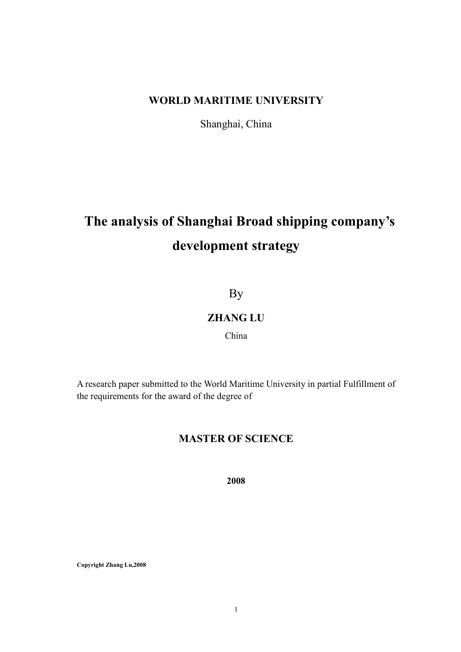### WORLD MARITIME UNIVERSITY

Shanghai, China

# The analysis of Shanghai Broad shipping company's development strategy

# By

### ZHANG LU

### China

A research paper submitted to the World Maritime University in partial Fulfillment of the requirements for the award of the degree of

### MASTER OF SCIENCE

2008

Copyright Zhang Lu,2008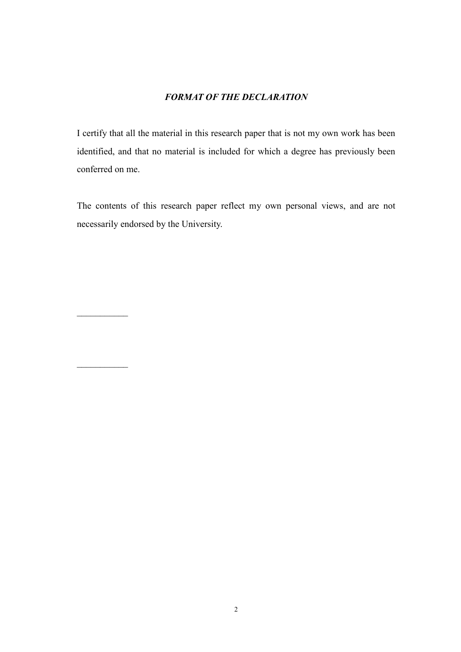#### FORMAT OF THE DECLARATION

I certify that all the material in this research paper that is not my own work has been identified, and that no material is included for which a degree has previously been conferred on me.

The contents of this research paper reflect my own personal views, and are not necessarily endorsed by the University.

 $\frac{1}{2}$  ,  $\frac{1}{2}$  ,  $\frac{1}{2}$  ,  $\frac{1}{2}$  ,  $\frac{1}{2}$  ,  $\frac{1}{2}$ 

 $\frac{1}{2}$  ,  $\frac{1}{2}$  ,  $\frac{1}{2}$  ,  $\frac{1}{2}$  ,  $\frac{1}{2}$  ,  $\frac{1}{2}$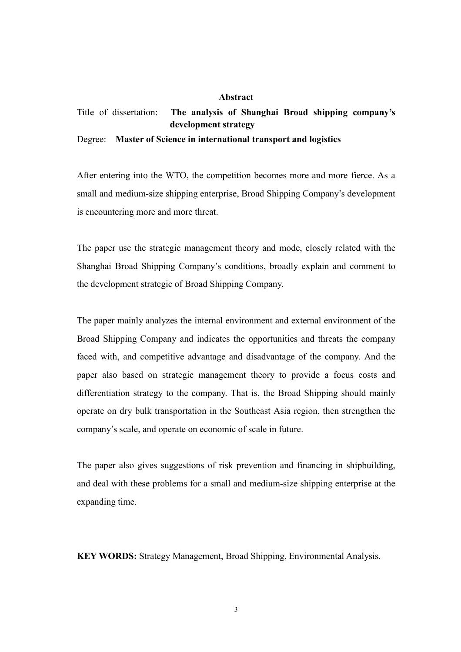#### Abstract

### Title of dissertation: The analysis of Shanghai Broad shipping company's development strategy Degree: Master of Science in international transport and logistics

After entering into the WTO, the competition becomes more and more fierce. As a small and medium-size shipping enterprise, Broad Shipping Company's development is encountering more and more threat.

The paper use the strategic management theory and mode, closely related with the Shanghai Broad Shipping Company's conditions, broadly explain and comment to the development strategic of Broad Shipping Company.

The paper mainly analyzes the internal environment and external environment of the Broad Shipping Company and indicates the opportunities and threats the company faced with, and competitive advantage and disadvantage of the company. And the paper also based on strategic management theory to provide a focus costs and differentiation strategy to the company. That is, the Broad Shipping should mainly operate on dry bulk transportation in the Southeast Asia region, then strengthen the company's scale, and operate on economic of scale in future.

The paper also gives suggestions of risk prevention and financing in shipbuilding, and deal with these problems for a small and medium-size shipping enterprise at the expanding time.

KEY WORDS: Strategy Management, Broad Shipping, Environmental Analysis.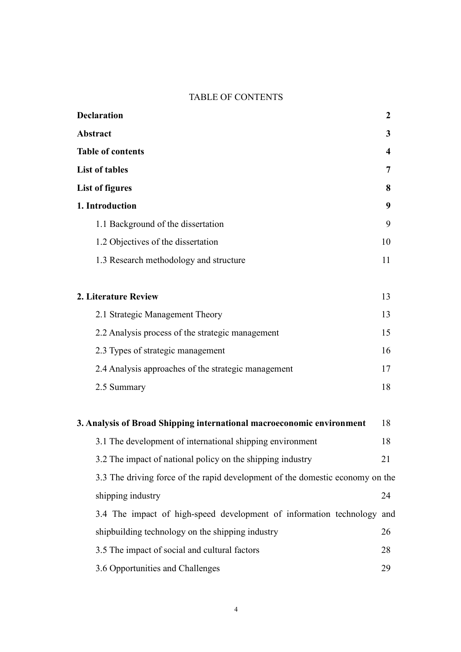#### TABLE OF CONTENTS

| <b>Declaration</b>                                                    | $\boldsymbol{2}$        |
|-----------------------------------------------------------------------|-------------------------|
| <b>Abstract</b>                                                       | 3                       |
| <b>Table of contents</b>                                              | $\overline{\mathbf{4}}$ |
| <b>List of tables</b>                                                 | 7                       |
| <b>List of figures</b>                                                | 8                       |
| 1. Introduction                                                       | 9                       |
| 1.1 Background of the dissertation                                    | 9                       |
| 1.2 Objectives of the dissertation                                    | 10                      |
| 1.3 Research methodology and structure                                | 11                      |
| 2. Literature Review                                                  | 13                      |
| 2.1 Strategic Management Theory                                       | 13                      |
| 2.2 Analysis process of the strategic management                      | 15                      |
| 2.3 Types of strategic management                                     | 16                      |
| 2.4 Analysis approaches of the strategic management                   | 17                      |
| 2.5 Summary                                                           | 18                      |
| 3. Analysis of Broad Shipping international macroeconomic environment | 18                      |
| 3.1 The development of international shipping environment             | 18                      |

shipping industry 24 3.4 The impact of high-speed development of information technology and shipbuilding technology on the shipping industry 26 3.5 The impact of social and cultural factors 28 3.6 Opportunities and Challenges 29

3.2 The impact of national policy on the shipping industry 21

3.3 The driving force of the rapid development of the domestic economy on the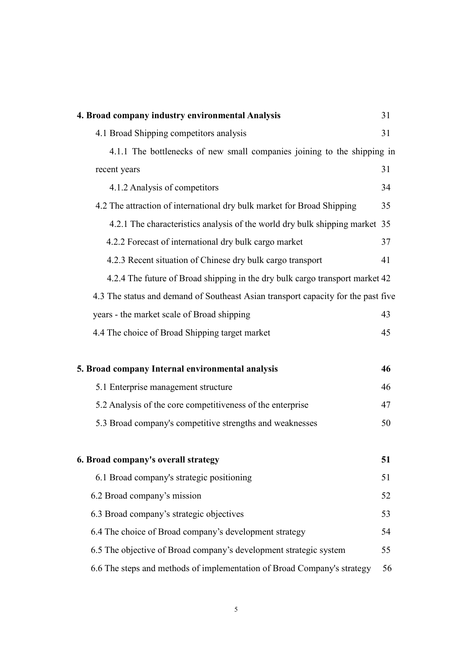| 4. Broad company industry environmental Analysis                                  | 31 |
|-----------------------------------------------------------------------------------|----|
| 4.1 Broad Shipping competitors analysis                                           | 31 |
| 4.1.1 The bottlenecks of new small companies joining to the shipping in           |    |
| recent years                                                                      | 31 |
| 4.1.2 Analysis of competitors                                                     | 34 |
| 4.2 The attraction of international dry bulk market for Broad Shipping            | 35 |
| 4.2.1 The characteristics analysis of the world dry bulk shipping market 35       |    |
| 4.2.2 Forecast of international dry bulk cargo market                             | 37 |
| 4.2.3 Recent situation of Chinese dry bulk cargo transport                        | 41 |
| 4.2.4 The future of Broad shipping in the dry bulk cargo transport market 42      |    |
| 4.3 The status and demand of Southeast Asian transport capacity for the past five |    |
| years - the market scale of Broad shipping                                        | 43 |
| 4.4 The choice of Broad Shipping target market                                    | 45 |
|                                                                                   |    |
| 5. Broad company Internal environmental analysis                                  | 46 |
| 5.1 Enterprise management structure                                               | 46 |
| 5.2 Analysis of the core competitiveness of the enterprise                        | 47 |
| 5.3 Broad company's competitive strengths and weaknesses                          | 50 |
|                                                                                   |    |
| 6. Broad company's overall strategy                                               | 51 |
| 6.1 Broad company's strategic positioning                                         | 51 |
| 6.2 Broad company's mission                                                       | 52 |
| 6.3 Broad company's strategic objectives                                          | 53 |
| 6.4 The choice of Broad company's development strategy                            | 54 |
| 6.5 The objective of Broad company's development strategic system                 | 55 |
| 6.6 The steps and methods of implementation of Broad Company's strategy           | 56 |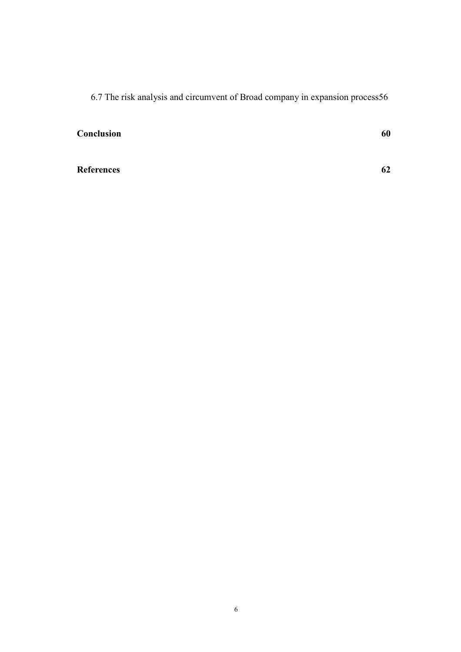6.7 The risk analysis and circumvent of Broad company in expansion process56

**Conclusion** 60

References 62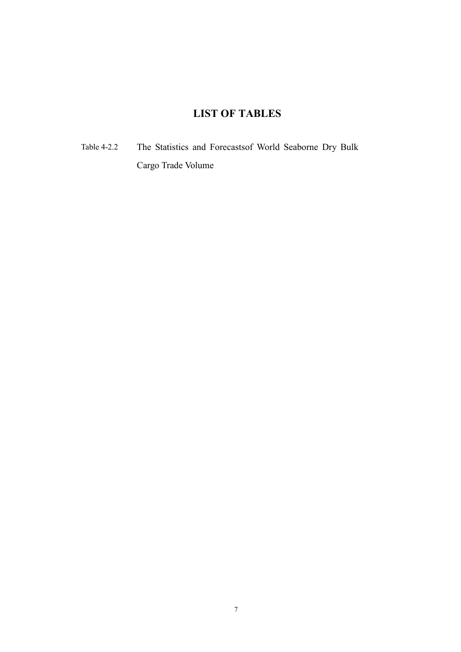### LIST OF TABLES

Table 4-2.2 The Statistics and Forecastsof World Seaborne Dry Bulk Cargo Trade Volume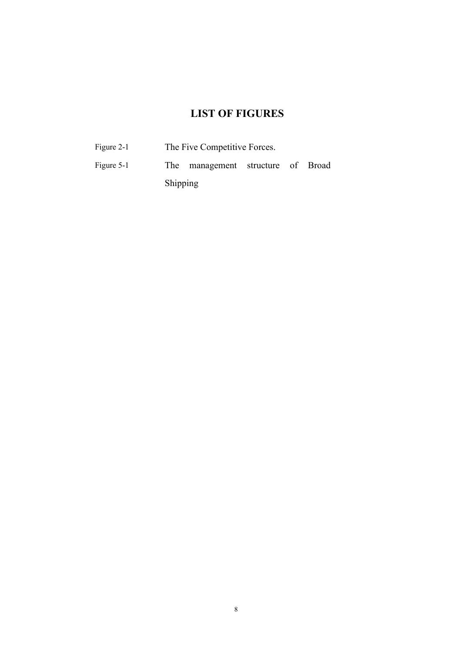### LIST OF FIGURES

| Figure 2-1 | The Five Competitive Forces. |                                   |  |  |  |  |
|------------|------------------------------|-----------------------------------|--|--|--|--|
| Figure 5-1 |                              | The management structure of Broad |  |  |  |  |
|            | <b>Shipping</b>              |                                   |  |  |  |  |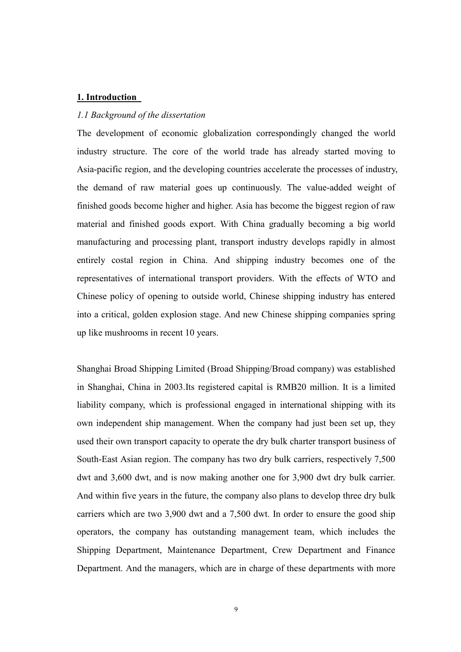#### 1. Introduction

#### 1.1 Background of the dissertation

The development of economic globalization correspondingly changed the world industry structure. The core of the world trade has already started moving to Asia-pacific region, and the developing countries accelerate the processes of industry, the demand of raw material goes up continuously. The value-added weight of finished goods become higher and higher. Asia has become the biggest region of raw material and finished goods export. With China gradually becoming a big world manufacturing and processing plant, transport industry develops rapidly in almost entirely costal region in China. And shipping industry becomes one of the representatives of international transport providers. With the effects of WTO and Chinese policy of opening to outside world, Chinese shipping industry has entered into a critical, golden explosion stage. And new Chinese shipping companies spring up like mushrooms in recent 10 years.

Shanghai Broad Shipping Limited (Broad Shipping/Broad company) was established in Shanghai, China in 2003.Its registered capital is RMB20 million. It is a limited liability company, which is professional engaged in international shipping with its own independent ship management. When the company had just been set up, they used their own transport capacity to operate the dry bulk charter transport business of South-East Asian region. The company has two dry bulk carriers, respectively 7,500 dwt and 3,600 dwt, and is now making another one for 3,900 dwt dry bulk carrier. And within five years in the future, the company also plans to develop three dry bulk carriers which are two 3,900 dwt and a 7,500 dwt. In order to ensure the good ship operators, the company has outstanding management team, which includes the Shipping Department, Maintenance Department, Crew Department and Finance Department. And the managers, which are in charge of these departments with more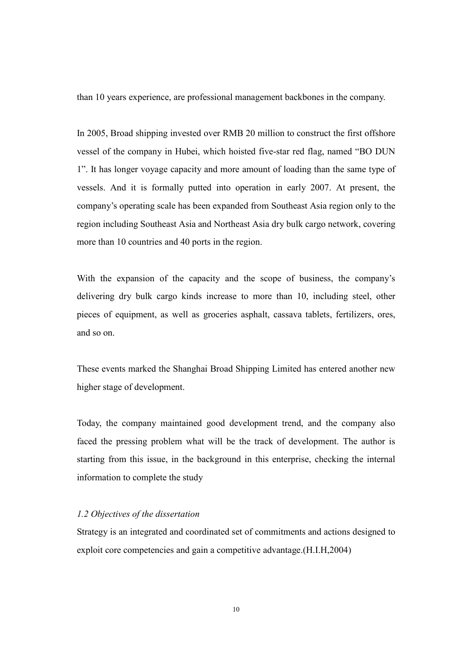than 10 years experience, are professional management backbones in the company.

In 2005, Broad shipping invested over RMB 20 million to construct the first offshore vessel of the company in Hubei, which hoisted five-star red flag, named "BO DUN 1". It has longer voyage capacity and more amount of loading than the same type of vessels. And it is formally putted into operation in early 2007. At present, the company's operating scale has been expanded from Southeast Asia region only to the region including Southeast Asia and Northeast Asia dry bulk cargo network, covering more than 10 countries and 40 ports in the region.

With the expansion of the capacity and the scope of business, the company's delivering dry bulk cargo kinds increase to more than 10, including steel, other pieces of equipment, as well as groceries asphalt, cassava tablets, fertilizers, ores, and so on.

These events marked the Shanghai Broad Shipping Limited has entered another new higher stage of development.

Today, the company maintained good development trend, and the company also faced the pressing problem what will be the track of development. The author is starting from this issue, in the background in this enterprise, checking the internal information to complete the study

#### 1.2 Objectives of the dissertation

Strategy is an integrated and coordinated set of commitments and actions designed to exploit core competencies and gain a competitive advantage.(H.I.H,2004)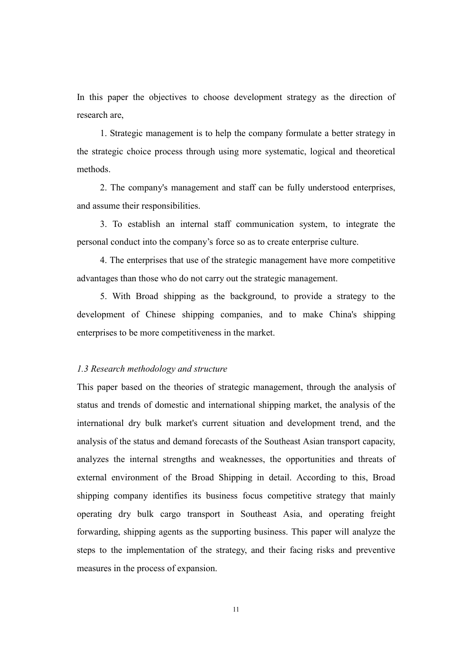In this paper the objectives to choose development strategy as the direction of research are,

 1. Strategic management is to help the company formulate a better strategy in the strategic choice process through using more systematic, logical and theoretical methods.

 2. The company's management and staff can be fully understood enterprises, and assume their responsibilities.

 3. To establish an internal staff communication system, to integrate the personal conduct into the company's force so as to create enterprise culture.

 4. The enterprises that use of the strategic management have more competitive advantages than those who do not carry out the strategic management.

 5. With Broad shipping as the background, to provide a strategy to the development of Chinese shipping companies, and to make China's shipping enterprises to be more competitiveness in the market.

#### 1.3 Research methodology and structure

This paper based on the theories of strategic management, through the analysis of status and trends of domestic and international shipping market, the analysis of the international dry bulk market's current situation and development trend, and the analysis of the status and demand forecasts of the Southeast Asian transport capacity, analyzes the internal strengths and weaknesses, the opportunities and threats of external environment of the Broad Shipping in detail. According to this, Broad shipping company identifies its business focus competitive strategy that mainly operating dry bulk cargo transport in Southeast Asia, and operating freight forwarding, shipping agents as the supporting business. This paper will analyze the steps to the implementation of the strategy, and their facing risks and preventive measures in the process of expansion.

11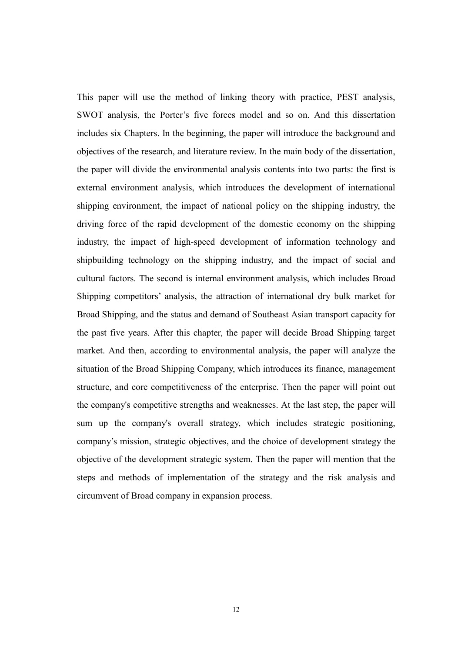This paper will use the method of linking theory with practice, PEST analysis, SWOT analysis, the Porter's five forces model and so on. And this dissertation includes six Chapters. In the beginning, the paper will introduce the background and objectives of the research, and literature review. In the main body of the dissertation, the paper will divide the environmental analysis contents into two parts: the first is external environment analysis, which introduces the development of international shipping environment, the impact of national policy on the shipping industry, the driving force of the rapid development of the domestic economy on the shipping industry, the impact of high-speed development of information technology and shipbuilding technology on the shipping industry, and the impact of social and cultural factors. The second is internal environment analysis, which includes Broad Shipping competitors' analysis, the attraction of international dry bulk market for Broad Shipping, and the status and demand of Southeast Asian transport capacity for the past five years. After this chapter, the paper will decide Broad Shipping target market. And then, according to environmental analysis, the paper will analyze the situation of the Broad Shipping Company, which introduces its finance, management structure, and core competitiveness of the enterprise. Then the paper will point out the company's competitive strengths and weaknesses. At the last step, the paper will sum up the company's overall strategy, which includes strategic positioning, company's mission, strategic objectives, and the choice of development strategy the objective of the development strategic system. Then the paper will mention that the steps and methods of implementation of the strategy and the risk analysis and circumvent of Broad company in expansion process.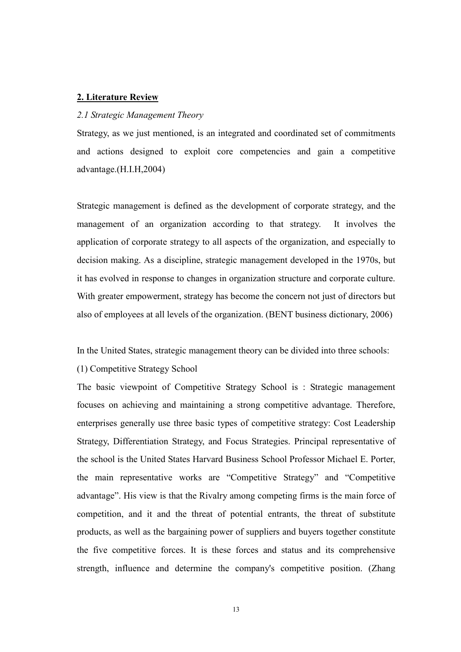#### 2. Literature Review

#### 2.1 Strategic Management Theory

Strategy, as we just mentioned, is an integrated and coordinated set of commitments and actions designed to exploit core competencies and gain a competitive advantage.(H.I.H,2004)

Strategic management is defined as the development of corporate strategy, and the management of an organization according to that strategy. It involves the application of corporate strategy to all aspects of the organization, and especially to decision making. As a discipline, strategic management developed in the 1970s, but it has evolved in response to changes in organization structure and corporate culture. With greater empowerment, strategy has become the concern not just of directors but also of employees at all levels of the organization. (BENT business dictionary, 2006)

In the United States, strategic management theory can be divided into three schools:

(1) Competitive Strategy School

The basic viewpoint of Competitive Strategy School is : Strategic management focuses on achieving and maintaining a strong competitive advantage. Therefore, enterprises generally use three basic types of competitive strategy: Cost Leadership Strategy, Differentiation Strategy, and Focus Strategies. Principal representative of the school is the United States Harvard Business School Professor Michael E. Porter, the main representative works are "Competitive Strategy" and "Competitive advantage". His view is that the Rivalry among competing firms is the main force of competition, and it and the threat of potential entrants, the threat of substitute products, as well as the bargaining power of suppliers and buyers together constitute the five competitive forces. It is these forces and status and its comprehensive strength, influence and determine the company's competitive position. (Zhang

13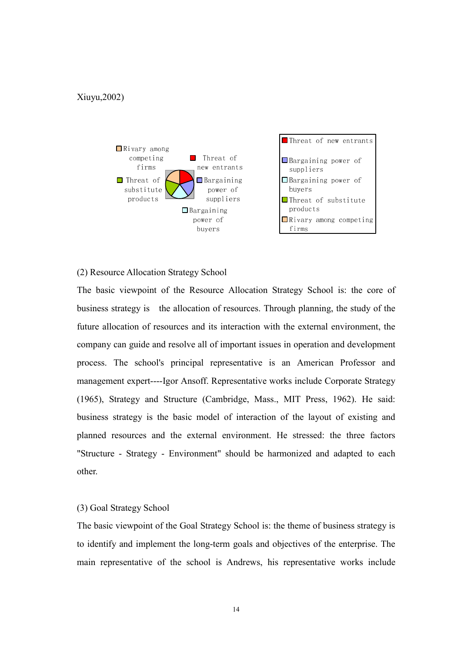#### Xiuyu,2002)



#### (2) Resource Allocation Strategy School

The basic viewpoint of the Resource Allocation Strategy School is: the core of business strategy is the allocation of resources. Through planning, the study of the future allocation of resources and its interaction with the external environment, the company can guide and resolve all of important issues in operation and development process. The school's principal representative is an American Professor and management expert----Igor Ansoff. Representative works include Corporate Strategy (1965), Strategy and Structure (Cambridge, Mass., MIT Press, 1962). He said: business strategy is the basic model of interaction of the layout of existing and planned resources and the external environment. He stressed: the three factors "Structure - Strategy - Environment" should be harmonized and adapted to each other.

#### (3) Goal Strategy School

The basic viewpoint of the Goal Strategy School is: the theme of business strategy is to identify and implement the long-term goals and objectives of the enterprise. The main representative of the school is Andrews, his representative works include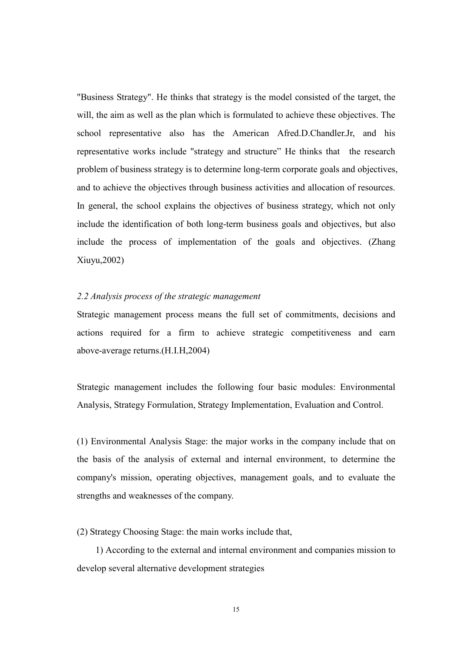"Business Strategy". He thinks that strategy is the model consisted of the target, the will, the aim as well as the plan which is formulated to achieve these objectives. The school representative also has the American Afred.D.Chandler.Jr, and his representative works include "strategy and structure" He thinks that the research problem of business strategy is to determine long-term corporate goals and objectives, and to achieve the objectives through business activities and allocation of resources. In general, the school explains the objectives of business strategy, which not only include the identification of both long-term business goals and objectives, but also include the process of implementation of the goals and objectives. (Zhang Xiuyu,2002)

#### 2.2 Analysis process of the strategic management

Strategic management process means the full set of commitments, decisions and actions required for a firm to achieve strategic competitiveness and earn above-average returns.(H.I.H,2004)

Strategic management includes the following four basic modules: Environmental Analysis, Strategy Formulation, Strategy Implementation, Evaluation and Control.

(1) Environmental Analysis Stage: the major works in the company include that on the basis of the analysis of external and internal environment, to determine the company's mission, operating objectives, management goals, and to evaluate the strengths and weaknesses of the company.

(2) Strategy Choosing Stage: the main works include that,

 1) According to the external and internal environment and companies mission to develop several alternative development strategies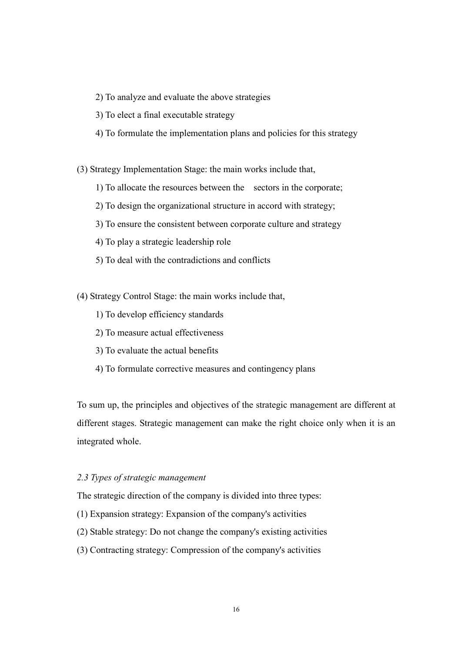- 2) To analyze and evaluate the above strategies
- 3) To elect a final executable strategy
- 4) To formulate the implementation plans and policies for this strategy

(3) Strategy Implementation Stage: the main works include that,

- 1) To allocate the resources between the sectors in the corporate;
- 2) To design the organizational structure in accord with strategy;
- 3) To ensure the consistent between corporate culture and strategy
- 4) To play a strategic leadership role
- 5) To deal with the contradictions and conflicts
- (4) Strategy Control Stage: the main works include that,
	- 1) To develop efficiency standards
	- 2) To measure actual effectiveness
	- 3) To evaluate the actual benefits
	- 4) To formulate corrective measures and contingency plans

To sum up, the principles and objectives of the strategic management are different at different stages. Strategic management can make the right choice only when it is an integrated whole.

#### 2.3 Types of strategic management

The strategic direction of the company is divided into three types:

- (1) Expansion strategy: Expansion of the company's activities
- (2) Stable strategy: Do not change the company's existing activities
- (3) Contracting strategy: Compression of the company's activities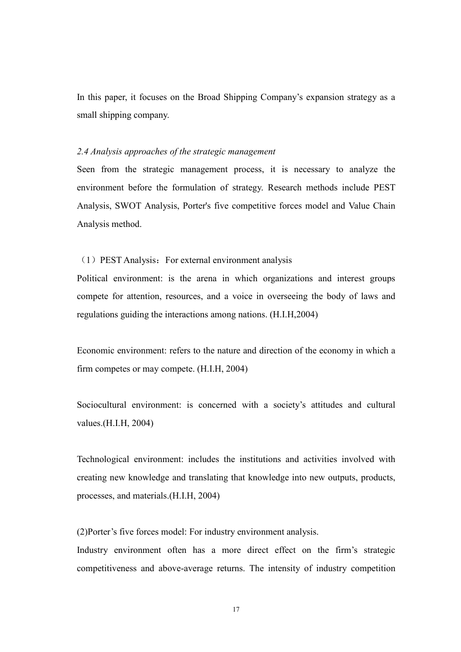In this paper, it focuses on the Broad Shipping Company's expansion strategy as a small shipping company.

#### 2.4 Analysis approaches of the strategic management

Seen from the strategic management process, it is necessary to analyze the environment before the formulation of strategy. Research methods include PEST Analysis, SWOT Analysis, Porter's five competitive forces model and Value Chain Analysis method.

#### (1) PEST Analysis: For external environment analysis

Political environment: is the arena in which organizations and interest groups compete for attention, resources, and a voice in overseeing the body of laws and regulations guiding the interactions among nations. (H.I.H,2004)

Economic environment: refers to the nature and direction of the economy in which a firm competes or may compete. (H.I.H, 2004)

Sociocultural environment: is concerned with a society's attitudes and cultural values.(H.I.H, 2004)

Technological environment: includes the institutions and activities involved with creating new knowledge and translating that knowledge into new outputs, products, processes, and materials.(H.I.H, 2004)

(2)Porter's five forces model: For industry environment analysis.

Industry environment often has a more direct effect on the firm's strategic competitiveness and above-average returns. The intensity of industry competition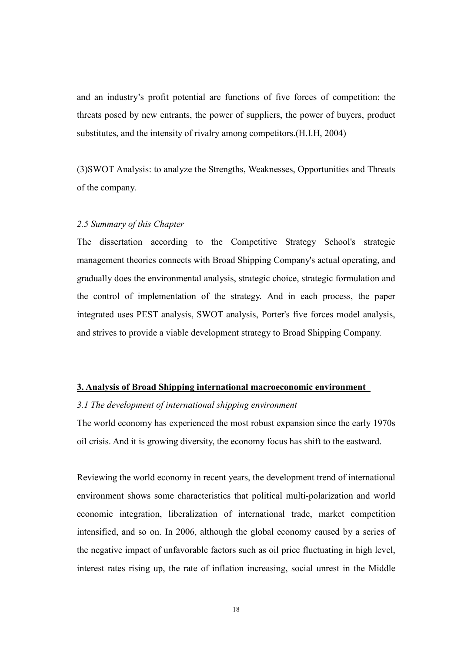and an industry's profit potential are functions of five forces of competition: the threats posed by new entrants, the power of suppliers, the power of buyers, product substitutes, and the intensity of rivalry among competitors.(H.I.H, 2004)

(3)SWOT Analysis: to analyze the Strengths, Weaknesses, Opportunities and Threats of the company.

#### 2.5 Summary of this Chapter

The dissertation according to the Competitive Strategy School's strategic management theories connects with Broad Shipping Company's actual operating, and gradually does the environmental analysis, strategic choice, strategic formulation and the control of implementation of the strategy. And in each process, the paper integrated uses PEST analysis, SWOT analysis, Porter's five forces model analysis, and strives to provide a viable development strategy to Broad Shipping Company.

#### 3. Analysis of Broad Shipping international macroeconomic environment

#### 3.1 The development of international shipping environment

The world economy has experienced the most robust expansion since the early 1970s oil crisis. And it is growing diversity, the economy focus has shift to the eastward.

Reviewing the world economy in recent years, the development trend of international environment shows some characteristics that political multi-polarization and world economic integration, liberalization of international trade, market competition intensified, and so on. In 2006, although the global economy caused by a series of the negative impact of unfavorable factors such as oil price fluctuating in high level, interest rates rising up, the rate of inflation increasing, social unrest in the Middle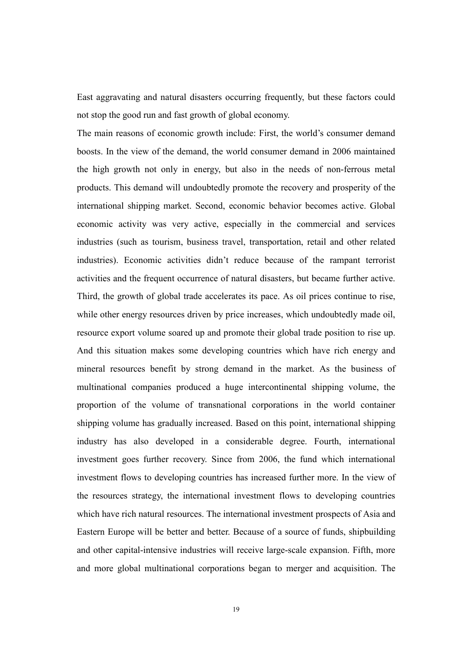East aggravating and natural disasters occurring frequently, but these factors could not stop the good run and fast growth of global economy.

The main reasons of economic growth include: First, the world's consumer demand boosts. In the view of the demand, the world consumer demand in 2006 maintained the high growth not only in energy, but also in the needs of non-ferrous metal products. This demand will undoubtedly promote the recovery and prosperity of the international shipping market. Second, economic behavior becomes active. Global economic activity was very active, especially in the commercial and services industries (such as tourism, business travel, transportation, retail and other related industries). Economic activities didn't reduce because of the rampant terrorist activities and the frequent occurrence of natural disasters, but became further active. Third, the growth of global trade accelerates its pace. As oil prices continue to rise, while other energy resources driven by price increases, which undoubtedly made oil, resource export volume soared up and promote their global trade position to rise up. And this situation makes some developing countries which have rich energy and mineral resources benefit by strong demand in the market. As the business of multinational companies produced a huge intercontinental shipping volume, the proportion of the volume of transnational corporations in the world container shipping volume has gradually increased. Based on this point, international shipping industry has also developed in a considerable degree. Fourth, international investment goes further recovery. Since from 2006, the fund which international investment flows to developing countries has increased further more. In the view of the resources strategy, the international investment flows to developing countries which have rich natural resources. The international investment prospects of Asia and Eastern Europe will be better and better. Because of a source of funds, shipbuilding and other capital-intensive industries will receive large-scale expansion. Fifth, more and more global multinational corporations began to merger and acquisition. The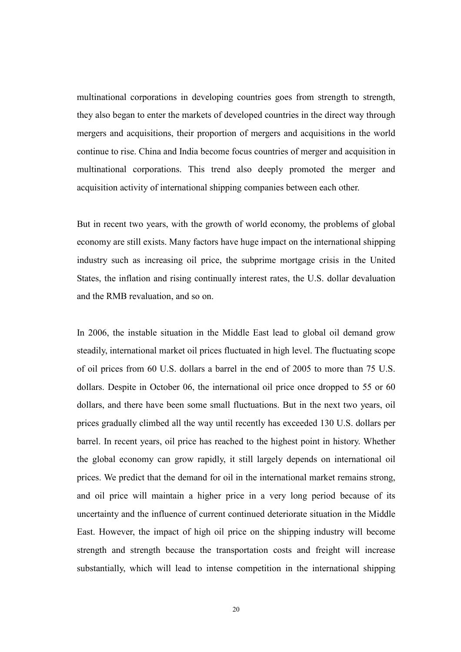multinational corporations in developing countries goes from strength to strength, they also began to enter the markets of developed countries in the direct way through mergers and acquisitions, their proportion of mergers and acquisitions in the world continue to rise. China and India become focus countries of merger and acquisition in multinational corporations. This trend also deeply promoted the merger and acquisition activity of international shipping companies between each other.

But in recent two years, with the growth of world economy, the problems of global economy are still exists. Many factors have huge impact on the international shipping industry such as increasing oil price, the subprime mortgage crisis in the United States, the inflation and rising continually interest rates, the U.S. dollar devaluation and the RMB revaluation, and so on.

In 2006, the instable situation in the Middle East lead to global oil demand grow steadily, international market oil prices fluctuated in high level. The fluctuating scope of oil prices from 60 U.S. dollars a barrel in the end of 2005 to more than 75 U.S. dollars. Despite in October 06, the international oil price once dropped to 55 or 60 dollars, and there have been some small fluctuations. But in the next two years, oil prices gradually climbed all the way until recently has exceeded 130 U.S. dollars per barrel. In recent years, oil price has reached to the highest point in history. Whether the global economy can grow rapidly, it still largely depends on international oil prices. We predict that the demand for oil in the international market remains strong, and oil price will maintain a higher price in a very long period because of its uncertainty and the influence of current continued deteriorate situation in the Middle East. However, the impact of high oil price on the shipping industry will become strength and strength because the transportation costs and freight will increase substantially, which will lead to intense competition in the international shipping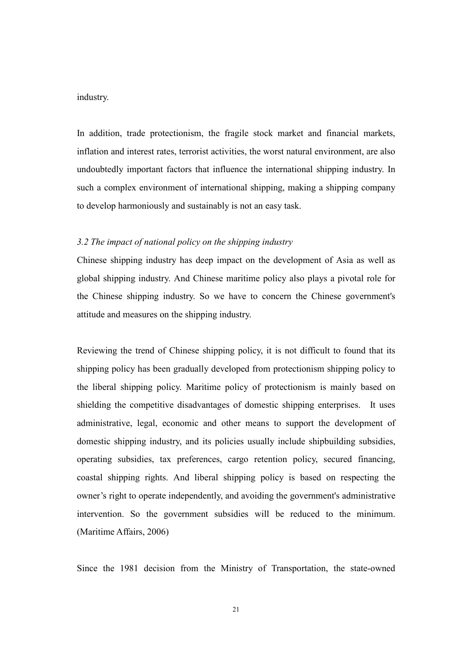#### industry.

In addition, trade protectionism, the fragile stock market and financial markets, inflation and interest rates, terrorist activities, the worst natural environment, are also undoubtedly important factors that influence the international shipping industry. In such a complex environment of international shipping, making a shipping company to develop harmoniously and sustainably is not an easy task.

#### 3.2 The impact of national policy on the shipping industry

Chinese shipping industry has deep impact on the development of Asia as well as global shipping industry. And Chinese maritime policy also plays a pivotal role for the Chinese shipping industry. So we have to concern the Chinese government's attitude and measures on the shipping industry.

Reviewing the trend of Chinese shipping policy, it is not difficult to found that its shipping policy has been gradually developed from protectionism shipping policy to the liberal shipping policy. Maritime policy of protectionism is mainly based on shielding the competitive disadvantages of domestic shipping enterprises. It uses administrative, legal, economic and other means to support the development of domestic shipping industry, and its policies usually include shipbuilding subsidies, operating subsidies, tax preferences, cargo retention policy, secured financing, coastal shipping rights. And liberal shipping policy is based on respecting the owner's right to operate independently, and avoiding the government's administrative intervention. So the government subsidies will be reduced to the minimum. (Maritime Affairs, 2006)

Since the 1981 decision from the Ministry of Transportation, the state-owned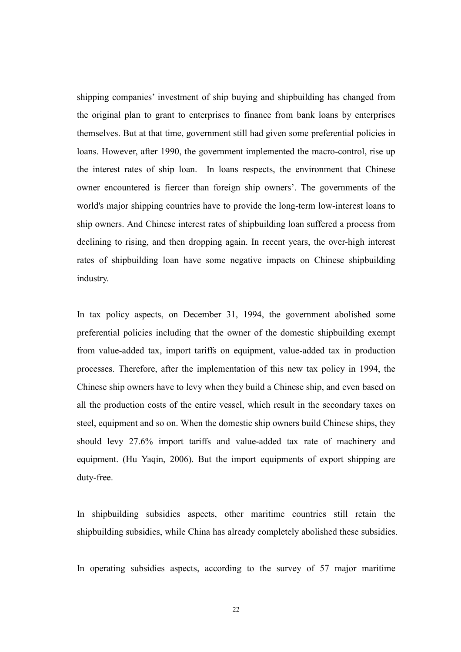shipping companies' investment of ship buying and shipbuilding has changed from the original plan to grant to enterprises to finance from bank loans by enterprises themselves. But at that time, government still had given some preferential policies in loans. However, after 1990, the government implemented the macro-control, rise up the interest rates of ship loan. In loans respects, the environment that Chinese owner encountered is fiercer than foreign ship owners'. The governments of the world's major shipping countries have to provide the long-term low-interest loans to ship owners. And Chinese interest rates of shipbuilding loan suffered a process from declining to rising, and then dropping again. In recent years, the over-high interest rates of shipbuilding loan have some negative impacts on Chinese shipbuilding industry.

In tax policy aspects, on December 31, 1994, the government abolished some preferential policies including that the owner of the domestic shipbuilding exempt from value-added tax, import tariffs on equipment, value-added tax in production processes. Therefore, after the implementation of this new tax policy in 1994, the Chinese ship owners have to levy when they build a Chinese ship, and even based on all the production costs of the entire vessel, which result in the secondary taxes on steel, equipment and so on. When the domestic ship owners build Chinese ships, they should levy 27.6% import tariffs and value-added tax rate of machinery and equipment. (Hu Yaqin, 2006). But the import equipments of export shipping are duty-free.

In shipbuilding subsidies aspects, other maritime countries still retain the shipbuilding subsidies, while China has already completely abolished these subsidies.

In operating subsidies aspects, according to the survey of 57 major maritime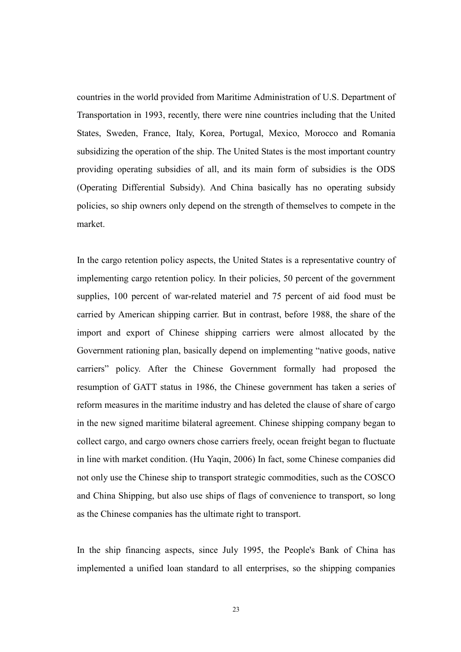countries in the world provided from Maritime Administration of U.S. Department of Transportation in 1993, recently, there were nine countries including that the United States, Sweden, France, Italy, Korea, Portugal, Mexico, Morocco and Romania subsidizing the operation of the ship. The United States is the most important country providing operating subsidies of all, and its main form of subsidies is the ODS (Operating Differential Subsidy). And China basically has no operating subsidy policies, so ship owners only depend on the strength of themselves to compete in the market.

In the cargo retention policy aspects, the United States is a representative country of implementing cargo retention policy. In their policies, 50 percent of the government supplies, 100 percent of war-related materiel and 75 percent of aid food must be carried by American shipping carrier. But in contrast, before 1988, the share of the import and export of Chinese shipping carriers were almost allocated by the Government rationing plan, basically depend on implementing "native goods, native carriers" policy. After the Chinese Government formally had proposed the resumption of GATT status in 1986, the Chinese government has taken a series of reform measures in the maritime industry and has deleted the clause of share of cargo in the new signed maritime bilateral agreement. Chinese shipping company began to collect cargo, and cargo owners chose carriers freely, ocean freight began to fluctuate in line with market condition. (Hu Yaqin, 2006) In fact, some Chinese companies did not only use the Chinese ship to transport strategic commodities, such as the COSCO and China Shipping, but also use ships of flags of convenience to transport, so long as the Chinese companies has the ultimate right to transport.

In the ship financing aspects, since July 1995, the People's Bank of China has implemented a unified loan standard to all enterprises, so the shipping companies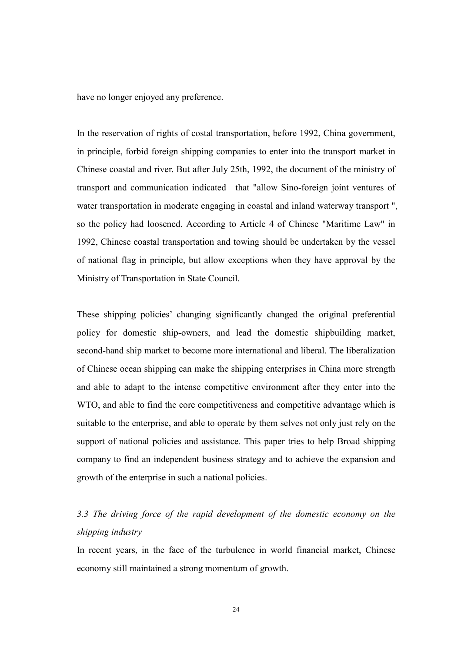have no longer enjoyed any preference.

In the reservation of rights of costal transportation, before 1992, China government, in principle, forbid foreign shipping companies to enter into the transport market in Chinese coastal and river. But after July 25th, 1992, the document of the ministry of transport and communication indicated that "allow Sino-foreign joint ventures of water transportation in moderate engaging in coastal and inland waterway transport ", so the policy had loosened. According to Article 4 of Chinese "Maritime Law" in 1992, Chinese coastal transportation and towing should be undertaken by the vessel of national flag in principle, but allow exceptions when they have approval by the Ministry of Transportation in State Council.

These shipping policies' changing significantly changed the original preferential policy for domestic ship-owners, and lead the domestic shipbuilding market, second-hand ship market to become more international and liberal. The liberalization of Chinese ocean shipping can make the shipping enterprises in China more strength and able to adapt to the intense competitive environment after they enter into the WTO, and able to find the core competitiveness and competitive advantage which is suitable to the enterprise, and able to operate by them selves not only just rely on the support of national policies and assistance. This paper tries to help Broad shipping company to find an independent business strategy and to achieve the expansion and growth of the enterprise in such a national policies.

## 3.3 The driving force of the rapid development of the domestic economy on the shipping industry

In recent years, in the face of the turbulence in world financial market, Chinese economy still maintained a strong momentum of growth.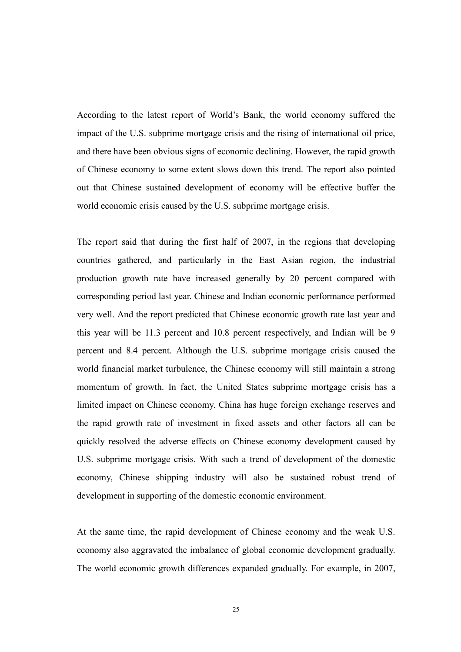According to the latest report of World's Bank, the world economy suffered the impact of the U.S. subprime mortgage crisis and the rising of international oil price, and there have been obvious signs of economic declining. However, the rapid growth of Chinese economy to some extent slows down this trend. The report also pointed out that Chinese sustained development of economy will be effective buffer the world economic crisis caused by the U.S. subprime mortgage crisis.

The report said that during the first half of 2007, in the regions that developing countries gathered, and particularly in the East Asian region, the industrial production growth rate have increased generally by 20 percent compared with corresponding period last year. Chinese and Indian economic performance performed very well. And the report predicted that Chinese economic growth rate last year and this year will be 11.3 percent and 10.8 percent respectively, and Indian will be 9 percent and 8.4 percent. Although the U.S. subprime mortgage crisis caused the world financial market turbulence, the Chinese economy will still maintain a strong momentum of growth. In fact, the United States subprime mortgage crisis has a limited impact on Chinese economy. China has huge foreign exchange reserves and the rapid growth rate of investment in fixed assets and other factors all can be quickly resolved the adverse effects on Chinese economy development caused by U.S. subprime mortgage crisis. With such a trend of development of the domestic economy, Chinese shipping industry will also be sustained robust trend of development in supporting of the domestic economic environment.

At the same time, the rapid development of Chinese economy and the weak U.S. economy also aggravated the imbalance of global economic development gradually. The world economic growth differences expanded gradually. For example, in 2007,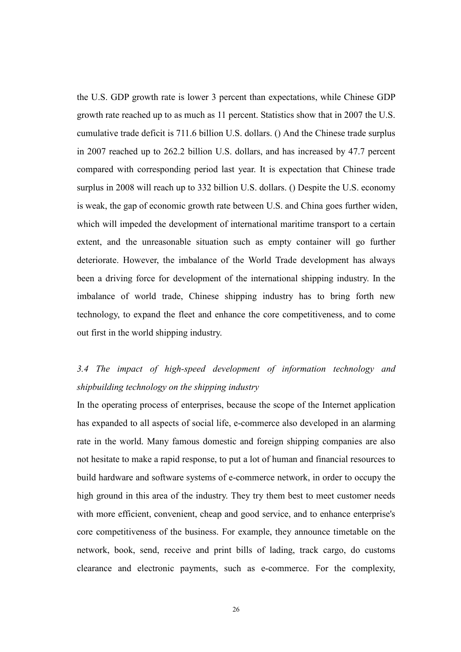the U.S. GDP growth rate is lower 3 percent than expectations, while Chinese GDP growth rate reached up to as much as 11 percent. Statistics show that in 2007 the U.S. cumulative trade deficit is 711.6 billion U.S. dollars. () And the Chinese trade surplus in 2007 reached up to 262.2 billion U.S. dollars, and has increased by 47.7 percent compared with corresponding period last year. It is expectation that Chinese trade surplus in 2008 will reach up to 332 billion U.S. dollars. () Despite the U.S. economy is weak, the gap of economic growth rate between U.S. and China goes further widen, which will impeded the development of international maritime transport to a certain extent, and the unreasonable situation such as empty container will go further deteriorate. However, the imbalance of the World Trade development has always been a driving force for development of the international shipping industry. In the imbalance of world trade, Chinese shipping industry has to bring forth new technology, to expand the fleet and enhance the core competitiveness, and to come out first in the world shipping industry.

## 3.4 The impact of high-speed development of information technology and shipbuilding technology on the shipping industry

In the operating process of enterprises, because the scope of the Internet application has expanded to all aspects of social life, e-commerce also developed in an alarming rate in the world. Many famous domestic and foreign shipping companies are also not hesitate to make a rapid response, to put a lot of human and financial resources to build hardware and software systems of e-commerce network, in order to occupy the high ground in this area of the industry. They try them best to meet customer needs with more efficient, convenient, cheap and good service, and to enhance enterprise's core competitiveness of the business. For example, they announce timetable on the network, book, send, receive and print bills of lading, track cargo, do customs clearance and electronic payments, such as e-commerce. For the complexity,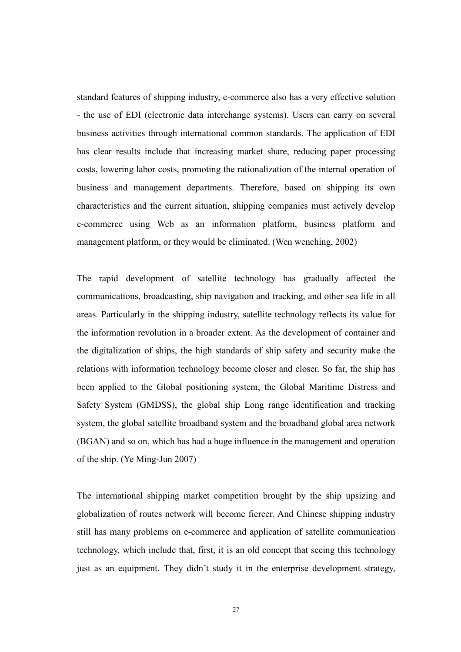standard features of shipping industry, e-commerce also has a very effective solution - the use of EDI (electronic data interchange systems). Users can carry on several business activities through international common standards. The application of EDI has clear results include that increasing market share, reducing paper processing costs, lowering labor costs, promoting the rationalization of the internal operation of business and management departments. Therefore, based on shipping its own characteristics and the current situation, shipping companies must actively develop e-commerce using Web as an information platform, business platform and management platform, or they would be eliminated. (Wen wenching, 2002)

The rapid development of satellite technology has gradually affected the communications, broadcasting, ship navigation and tracking, and other sea life in all areas. Particularly in the shipping industry, satellite technology reflects its value for the information revolution in a broader extent. As the development of container and the digitalization of ships, the high standards of ship safety and security make the relations with information technology become closer and closer. So far, the ship has been applied to the Global positioning system, the Global Maritime Distress and Safety System (GMDSS), the global ship Long range identification and tracking system, the global satellite broadband system and the broadband global area network (BGAN) and so on, which has had a huge influence in the management and operation of the ship. (Ye Ming-Jun 2007)

The international shipping market competition brought by the ship upsizing and globalization of routes network will become fiercer. And Chinese shipping industry still has many problems on e-commerce and application of satellite communication technology, which include that, first, it is an old concept that seeing this technology just as an equipment. They didn't study it in the enterprise development strategy,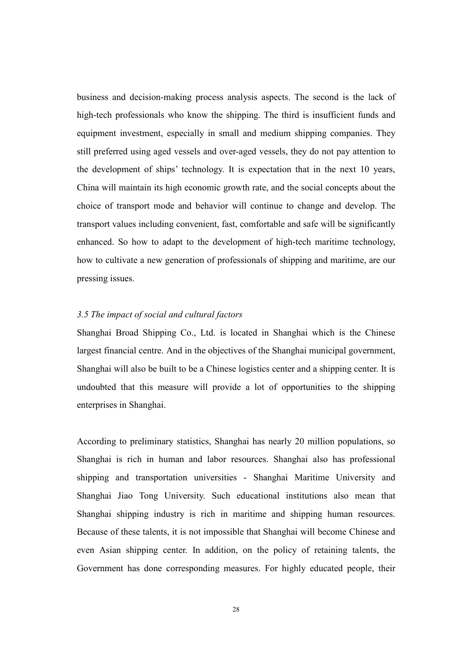business and decision-making process analysis aspects. The second is the lack of high-tech professionals who know the shipping. The third is insufficient funds and equipment investment, especially in small and medium shipping companies. They still preferred using aged vessels and over-aged vessels, they do not pay attention to the development of ships' technology. It is expectation that in the next 10 years, China will maintain its high economic growth rate, and the social concepts about the choice of transport mode and behavior will continue to change and develop. The transport values including convenient, fast, comfortable and safe will be significantly enhanced. So how to adapt to the development of high-tech maritime technology, how to cultivate a new generation of professionals of shipping and maritime, are our pressing issues.

#### 3.5 The impact of social and cultural factors

Shanghai Broad Shipping Co., Ltd. is located in Shanghai which is the Chinese largest financial centre. And in the objectives of the Shanghai municipal government, Shanghai will also be built to be a Chinese logistics center and a shipping center. It is undoubted that this measure will provide a lot of opportunities to the shipping enterprises in Shanghai.

According to preliminary statistics, Shanghai has nearly 20 million populations, so Shanghai is rich in human and labor resources. Shanghai also has professional shipping and transportation universities - Shanghai Maritime University and Shanghai Jiao Tong University. Such educational institutions also mean that Shanghai shipping industry is rich in maritime and shipping human resources. Because of these talents, it is not impossible that Shanghai will become Chinese and even Asian shipping center. In addition, on the policy of retaining talents, the Government has done corresponding measures. For highly educated people, their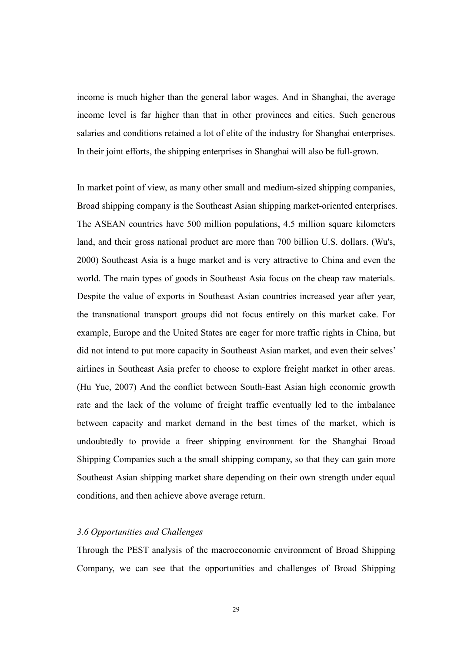income is much higher than the general labor wages. And in Shanghai, the average income level is far higher than that in other provinces and cities. Such generous salaries and conditions retained a lot of elite of the industry for Shanghai enterprises. In their joint efforts, the shipping enterprises in Shanghai will also be full-grown.

In market point of view, as many other small and medium-sized shipping companies, Broad shipping company is the Southeast Asian shipping market-oriented enterprises. The ASEAN countries have 500 million populations, 4.5 million square kilometers land, and their gross national product are more than 700 billion U.S. dollars. (Wu's, 2000) Southeast Asia is a huge market and is very attractive to China and even the world. The main types of goods in Southeast Asia focus on the cheap raw materials. Despite the value of exports in Southeast Asian countries increased year after year, the transnational transport groups did not focus entirely on this market cake. For example, Europe and the United States are eager for more traffic rights in China, but did not intend to put more capacity in Southeast Asian market, and even their selves' airlines in Southeast Asia prefer to choose to explore freight market in other areas. (Hu Yue, 2007) And the conflict between South-East Asian high economic growth rate and the lack of the volume of freight traffic eventually led to the imbalance between capacity and market demand in the best times of the market, which is undoubtedly to provide a freer shipping environment for the Shanghai Broad Shipping Companies such a the small shipping company, so that they can gain more Southeast Asian shipping market share depending on their own strength under equal conditions, and then achieve above average return.

#### 3.6 Opportunities and Challenges

Through the PEST analysis of the macroeconomic environment of Broad Shipping Company, we can see that the opportunities and challenges of Broad Shipping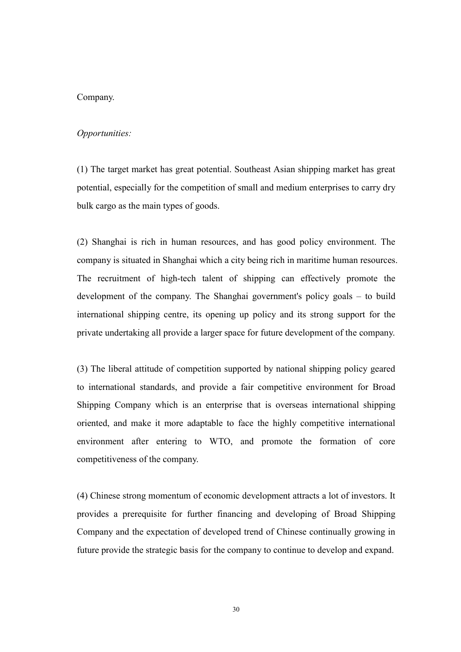#### Company.

#### Opportunities:

(1) The target market has great potential. Southeast Asian shipping market has great potential, especially for the competition of small and medium enterprises to carry dry bulk cargo as the main types of goods.

(2) Shanghai is rich in human resources, and has good policy environment. The company is situated in Shanghai which a city being rich in maritime human resources. The recruitment of high-tech talent of shipping can effectively promote the development of the company. The Shanghai government's policy goals – to build international shipping centre, its opening up policy and its strong support for the private undertaking all provide a larger space for future development of the company.

(3) The liberal attitude of competition supported by national shipping policy geared to international standards, and provide a fair competitive environment for Broad Shipping Company which is an enterprise that is overseas international shipping oriented, and make it more adaptable to face the highly competitive international environment after entering to WTO, and promote the formation of core competitiveness of the company.

(4) Chinese strong momentum of economic development attracts a lot of investors. It provides a prerequisite for further financing and developing of Broad Shipping Company and the expectation of developed trend of Chinese continually growing in future provide the strategic basis for the company to continue to develop and expand.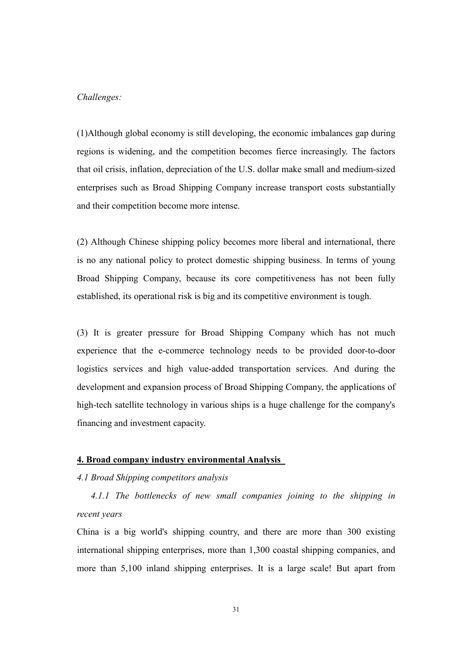#### Challenges:

(1)Although global economy is still developing, the economic imbalances gap during regions is widening, and the competition becomes fierce increasingly. The factors that oil crisis, inflation, depreciation of the U.S. dollar make small and medium-sized enterprises such as Broad Shipping Company increase transport costs substantially and their competition become more intense.

(2) Although Chinese shipping policy becomes more liberal and international, there is no any national policy to protect domestic shipping business. In terms of young Broad Shipping Company, because its core competitiveness has not been fully established, its operational risk is big and its competitive environment is tough.

(3) It is greater pressure for Broad Shipping Company which has not much experience that the e-commerce technology needs to be provided door-to-door logistics services and high value-added transportation services. And during the development and expansion process of Broad Shipping Company, the applications of high-tech satellite technology in various ships is a huge challenge for the company's financing and investment capacity.

#### 4. Broad company industry environmental Analysis

#### 4.1 Broad Shipping competitors analysis

 4.1.1 The bottlenecks of new small companies joining to the shipping in recent years

China is a big world's shipping country, and there are more than 300 existing international shipping enterprises, more than 1,300 coastal shipping companies, and more than 5,100 inland shipping enterprises. It is a large scale! But apart from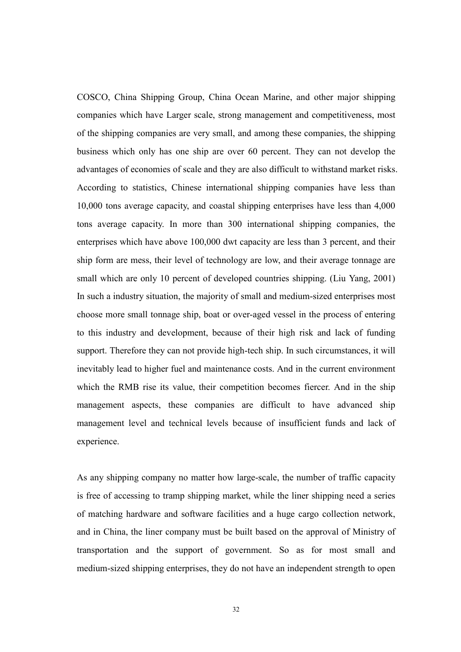COSCO, China Shipping Group, China Ocean Marine, and other major shipping companies which have Larger scale, strong management and competitiveness, most of the shipping companies are very small, and among these companies, the shipping business which only has one ship are over 60 percent. They can not develop the advantages of economies of scale and they are also difficult to withstand market risks. According to statistics, Chinese international shipping companies have less than 10,000 tons average capacity, and coastal shipping enterprises have less than 4,000 tons average capacity. In more than 300 international shipping companies, the enterprises which have above 100,000 dwt capacity are less than 3 percent, and their ship form are mess, their level of technology are low, and their average tonnage are small which are only 10 percent of developed countries shipping. (Liu Yang, 2001) In such a industry situation, the majority of small and medium-sized enterprises most choose more small tonnage ship, boat or over-aged vessel in the process of entering to this industry and development, because of their high risk and lack of funding support. Therefore they can not provide high-tech ship. In such circumstances, it will inevitably lead to higher fuel and maintenance costs. And in the current environment which the RMB rise its value, their competition becomes fiercer. And in the ship management aspects, these companies are difficult to have advanced ship management level and technical levels because of insufficient funds and lack of experience.

As any shipping company no matter how large-scale, the number of traffic capacity is free of accessing to tramp shipping market, while the liner shipping need a series of matching hardware and software facilities and a huge cargo collection network, and in China, the liner company must be built based on the approval of Ministry of transportation and the support of government. So as for most small and medium-sized shipping enterprises, they do not have an independent strength to open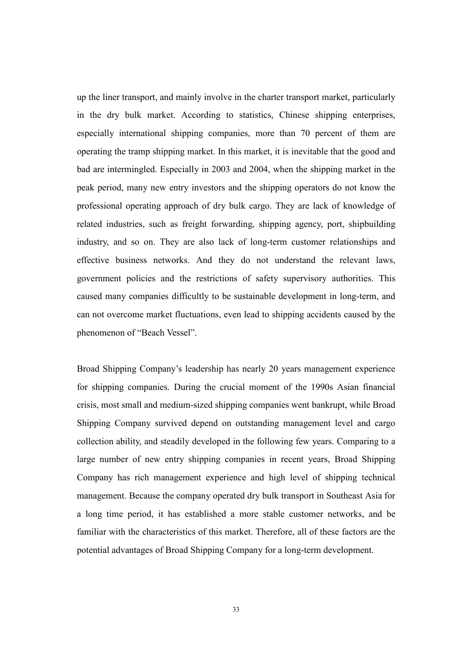up the liner transport, and mainly involve in the charter transport market, particularly in the dry bulk market. According to statistics, Chinese shipping enterprises, especially international shipping companies, more than 70 percent of them are operating the tramp shipping market. In this market, it is inevitable that the good and bad are intermingled. Especially in 2003 and 2004, when the shipping market in the peak period, many new entry investors and the shipping operators do not know the professional operating approach of dry bulk cargo. They are lack of knowledge of related industries, such as freight forwarding, shipping agency, port, shipbuilding industry, and so on. They are also lack of long-term customer relationships and effective business networks. And they do not understand the relevant laws, government policies and the restrictions of safety supervisory authorities. This caused many companies difficultly to be sustainable development in long-term, and can not overcome market fluctuations, even lead to shipping accidents caused by the phenomenon of "Beach Vessel".

Broad Shipping Company's leadership has nearly 20 years management experience for shipping companies. During the crucial moment of the 1990s Asian financial crisis, most small and medium-sized shipping companies went bankrupt, while Broad Shipping Company survived depend on outstanding management level and cargo collection ability, and steadily developed in the following few years. Comparing to a large number of new entry shipping companies in recent years, Broad Shipping Company has rich management experience and high level of shipping technical management. Because the company operated dry bulk transport in Southeast Asia for a long time period, it has established a more stable customer networks, and be familiar with the characteristics of this market. Therefore, all of these factors are the potential advantages of Broad Shipping Company for a long-term development.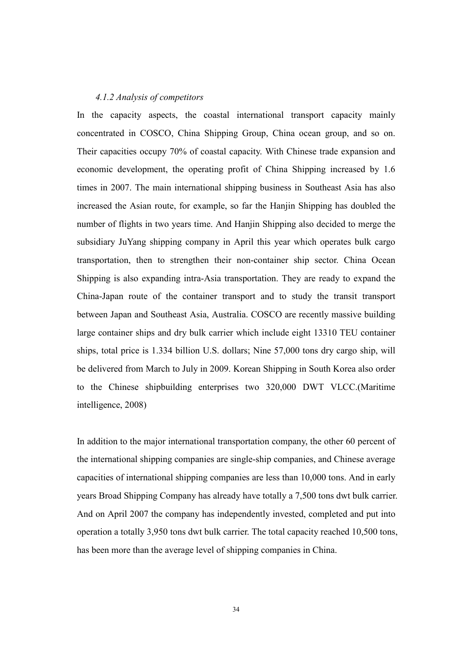#### 4.1.2 Analysis of competitors

In the capacity aspects, the coastal international transport capacity mainly concentrated in COSCO, China Shipping Group, China ocean group, and so on. Their capacities occupy 70% of coastal capacity. With Chinese trade expansion and economic development, the operating profit of China Shipping increased by 1.6 times in 2007. The main international shipping business in Southeast Asia has also increased the Asian route, for example, so far the Hanjin Shipping has doubled the number of flights in two years time. And Hanjin Shipping also decided to merge the subsidiary JuYang shipping company in April this year which operates bulk cargo transportation, then to strengthen their non-container ship sector. China Ocean Shipping is also expanding intra-Asia transportation. They are ready to expand the China-Japan route of the container transport and to study the transit transport between Japan and Southeast Asia, Australia. COSCO are recently massive building large container ships and dry bulk carrier which include eight 13310 TEU container ships, total price is 1.334 billion U.S. dollars; Nine 57,000 tons dry cargo ship, will be delivered from March to July in 2009. Korean Shipping in South Korea also order to the Chinese shipbuilding enterprises two 320,000 DWT VLCC.(Maritime intelligence, 2008)

In addition to the major international transportation company, the other 60 percent of the international shipping companies are single-ship companies, and Chinese average capacities of international shipping companies are less than 10,000 tons. And in early years Broad Shipping Company has already have totally a 7,500 tons dwt bulk carrier. And on April 2007 the company has independently invested, completed and put into operation a totally 3,950 tons dwt bulk carrier. The total capacity reached 10,500 tons, has been more than the average level of shipping companies in China.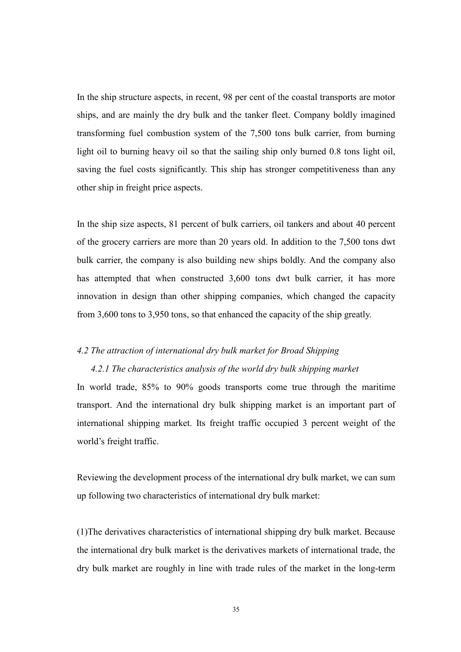In the ship structure aspects, in recent, 98 per cent of the coastal transports are motor ships, and are mainly the dry bulk and the tanker fleet. Company boldly imagined transforming fuel combustion system of the 7,500 tons bulk carrier, from burning light oil to burning heavy oil so that the sailing ship only burned 0.8 tons light oil, saving the fuel costs significantly. This ship has stronger competitiveness than any other ship in freight price aspects.

In the ship size aspects, 81 percent of bulk carriers, oil tankers and about 40 percent of the grocery carriers are more than 20 years old. In addition to the 7,500 tons dwt bulk carrier, the company is also building new ships boldly. And the company also has attempted that when constructed 3,600 tons dwt bulk carrier, it has more innovation in design than other shipping companies, which changed the capacity from 3,600 tons to 3,950 tons, so that enhanced the capacity of the ship greatly.

#### 4.2 The attraction of international dry bulk market for Broad Shipping

#### 4.2.1 The characteristics analysis of the world dry bulk shipping market

In world trade, 85% to 90% goods transports come true through the maritime transport. And the international dry bulk shipping market is an important part of international shipping market. Its freight traffic occupied 3 percent weight of the world's freight traffic.

Reviewing the development process of the international dry bulk market, we can sum up following two characteristics of international dry bulk market:

(1)The derivatives characteristics of international shipping dry bulk market. Because the international dry bulk market is the derivatives markets of international trade, the dry bulk market are roughly in line with trade rules of the market in the long-term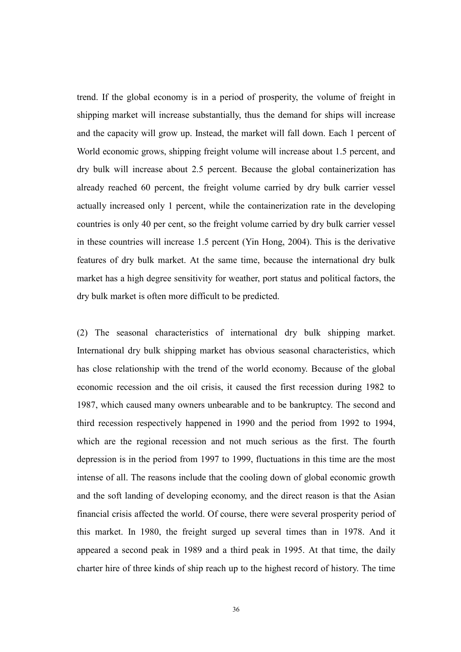trend. If the global economy is in a period of prosperity, the volume of freight in shipping market will increase substantially, thus the demand for ships will increase and the capacity will grow up. Instead, the market will fall down. Each 1 percent of World economic grows, shipping freight volume will increase about 1.5 percent, and dry bulk will increase about 2.5 percent. Because the global containerization has already reached 60 percent, the freight volume carried by dry bulk carrier vessel actually increased only 1 percent, while the containerization rate in the developing countries is only 40 per cent, so the freight volume carried by dry bulk carrier vessel in these countries will increase 1.5 percent (Yin Hong, 2004). This is the derivative features of dry bulk market. At the same time, because the international dry bulk market has a high degree sensitivity for weather, port status and political factors, the dry bulk market is often more difficult to be predicted.

(2) The seasonal characteristics of international dry bulk shipping market. International dry bulk shipping market has obvious seasonal characteristics, which has close relationship with the trend of the world economy. Because of the global economic recession and the oil crisis, it caused the first recession during 1982 to 1987, which caused many owners unbearable and to be bankruptcy. The second and third recession respectively happened in 1990 and the period from 1992 to 1994, which are the regional recession and not much serious as the first. The fourth depression is in the period from 1997 to 1999, fluctuations in this time are the most intense of all. The reasons include that the cooling down of global economic growth and the soft landing of developing economy, and the direct reason is that the Asian financial crisis affected the world. Of course, there were several prosperity period of this market. In 1980, the freight surged up several times than in 1978. And it appeared a second peak in 1989 and a third peak in 1995. At that time, the daily charter hire of three kinds of ship reach up to the highest record of history. The time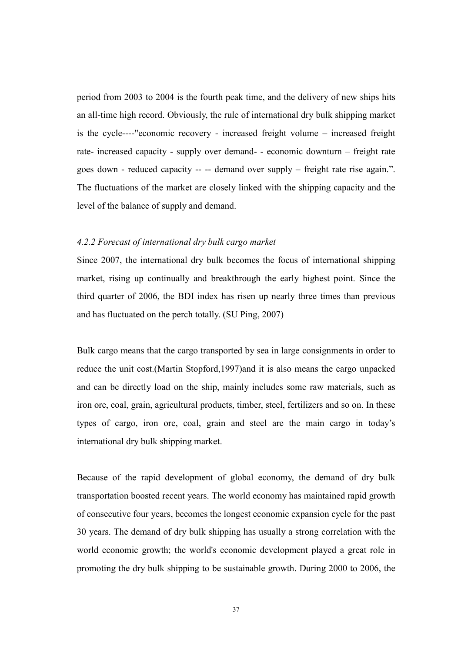period from 2003 to 2004 is the fourth peak time, and the delivery of new ships hits an all-time high record. Obviously, the rule of international dry bulk shipping market is the cycle----"economic recovery - increased freight volume – increased freight rate- increased capacity - supply over demand- - economic downturn – freight rate goes down - reduced capacity -- -- demand over supply – freight rate rise again.". The fluctuations of the market are closely linked with the shipping capacity and the level of the balance of supply and demand.

#### 4.2.2 Forecast of international dry bulk cargo market

Since 2007, the international dry bulk becomes the focus of international shipping market, rising up continually and breakthrough the early highest point. Since the third quarter of 2006, the BDI index has risen up nearly three times than previous and has fluctuated on the perch totally. (SU Ping, 2007)

Bulk cargo means that the cargo transported by sea in large consignments in order to reduce the unit cost.(Martin Stopford,1997)and it is also means the cargo unpacked and can be directly load on the ship, mainly includes some raw materials, such as iron ore, coal, grain, agricultural products, timber, steel, fertilizers and so on. In these types of cargo, iron ore, coal, grain and steel are the main cargo in today's international dry bulk shipping market.

Because of the rapid development of global economy, the demand of dry bulk transportation boosted recent years. The world economy has maintained rapid growth of consecutive four years, becomes the longest economic expansion cycle for the past 30 years. The demand of dry bulk shipping has usually a strong correlation with the world economic growth; the world's economic development played a great role in promoting the dry bulk shipping to be sustainable growth. During 2000 to 2006, the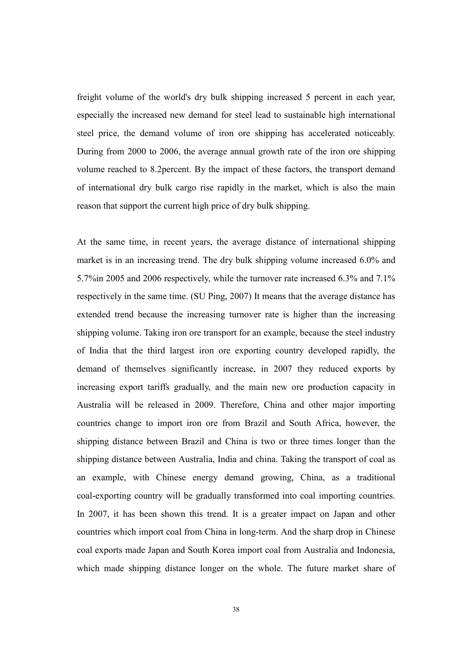freight volume of the world's dry bulk shipping increased 5 percent in each year, especially the increased new demand for steel lead to sustainable high international steel price, the demand volume of iron ore shipping has accelerated noticeably. During from 2000 to 2006, the average annual growth rate of the iron ore shipping volume reached to 8.2percent. By the impact of these factors, the transport demand of international dry bulk cargo rise rapidly in the market, which is also the main reason that support the current high price of dry bulk shipping.

At the same time, in recent years, the average distance of international shipping market is in an increasing trend. The dry bulk shipping volume increased 6.0% and 5.7%in 2005 and 2006 respectively, while the turnover rate increased 6.3% and 7.1% respectively in the same time. (SU Ping, 2007) It means that the average distance has extended trend because the increasing turnover rate is higher than the increasing shipping volume. Taking iron ore transport for an example, because the steel industry of India that the third largest iron ore exporting country developed rapidly, the demand of themselves significantly increase, in 2007 they reduced exports by increasing export tariffs gradually, and the main new ore production capacity in Australia will be released in 2009. Therefore, China and other major importing countries change to import iron ore from Brazil and South Africa, however, the shipping distance between Brazil and China is two or three times longer than the shipping distance between Australia, India and china. Taking the transport of coal as an example, with Chinese energy demand growing, China, as a traditional coal-exporting country will be gradually transformed into coal importing countries. In 2007, it has been shown this trend. It is a greater impact on Japan and other countries which import coal from China in long-term. And the sharp drop in Chinese coal exports made Japan and South Korea import coal from Australia and Indonesia, which made shipping distance longer on the whole. The future market share of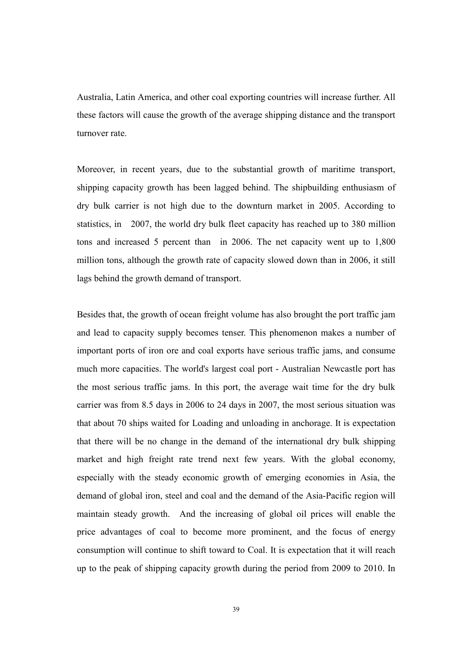Australia, Latin America, and other coal exporting countries will increase further. All these factors will cause the growth of the average shipping distance and the transport turnover rate.

Moreover, in recent years, due to the substantial growth of maritime transport, shipping capacity growth has been lagged behind. The shipbuilding enthusiasm of dry bulk carrier is not high due to the downturn market in 2005. According to statistics, in 2007, the world dry bulk fleet capacity has reached up to 380 million tons and increased 5 percent than in 2006. The net capacity went up to 1,800 million tons, although the growth rate of capacity slowed down than in 2006, it still lags behind the growth demand of transport.

Besides that, the growth of ocean freight volume has also brought the port traffic jam and lead to capacity supply becomes tenser. This phenomenon makes a number of important ports of iron ore and coal exports have serious traffic jams, and consume much more capacities. The world's largest coal port - Australian Newcastle port has the most serious traffic jams. In this port, the average wait time for the dry bulk carrier was from 8.5 days in 2006 to 24 days in 2007, the most serious situation was that about 70 ships waited for Loading and unloading in anchorage. It is expectation that there will be no change in the demand of the international dry bulk shipping market and high freight rate trend next few years. With the global economy, especially with the steady economic growth of emerging economies in Asia, the demand of global iron, steel and coal and the demand of the Asia-Pacific region will maintain steady growth. And the increasing of global oil prices will enable the price advantages of coal to become more prominent, and the focus of energy consumption will continue to shift toward to Coal. It is expectation that it will reach up to the peak of shipping capacity growth during the period from 2009 to 2010. In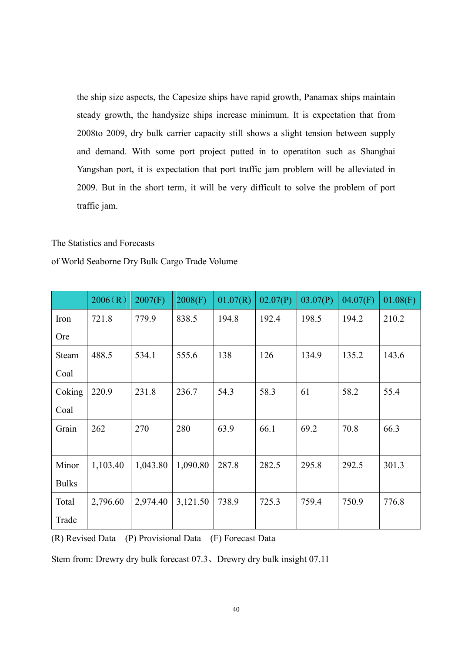the ship size aspects, the Capesize ships have rapid growth, Panamax ships maintain steady growth, the handysize ships increase minimum. It is expectation that from 2008to 2009, dry bulk carrier capacity still shows a slight tension between supply and demand. With some port project putted in to operatiton such as Shanghai Yangshan port, it is expectation that port traffic jam problem will be alleviated in 2009. But in the short term, it will be very difficult to solve the problem of port traffic jam.

#### The Statistics and Forecasts

| of World Seaborne Dry Bulk Cargo Trade Volume |  |  |  |  |  |
|-----------------------------------------------|--|--|--|--|--|
|-----------------------------------------------|--|--|--|--|--|

|              | 2006(R)  | 2007(F)  | 2008(F)  | 01.07(R) | 02.07(P) | 03.07(P) | 04.07(F) | 01.08(F) |
|--------------|----------|----------|----------|----------|----------|----------|----------|----------|
| Iron         | 721.8    | 779.9    | 838.5    | 194.8    | 192.4    | 198.5    | 194.2    | 210.2    |
| <b>Ore</b>   |          |          |          |          |          |          |          |          |
| <b>Steam</b> | 488.5    | 534.1    | 555.6    | 138      | 126      | 134.9    | 135.2    | 143.6    |
| Coal         |          |          |          |          |          |          |          |          |
| Coking       | 220.9    | 231.8    | 236.7    | 54.3     | 58.3     | 61       | 58.2     | 55.4     |
| Coal         |          |          |          |          |          |          |          |          |
| Grain        | 262      | 270      | 280      | 63.9     | 66.1     | 69.2     | 70.8     | 66.3     |
|              |          |          |          |          |          |          |          |          |
| Minor        | 1,103.40 | 1,043.80 | 1,090.80 | 287.8    | 282.5    | 295.8    | 292.5    | 301.3    |
| <b>Bulks</b> |          |          |          |          |          |          |          |          |
| Total        | 2,796.60 | 2,974.40 | 3,121.50 | 738.9    | 725.3    | 759.4    | 750.9    | 776.8    |
| Trade        |          |          |          |          |          |          |          |          |

(R) Revised Data (P) Provisional Data (F) Forecast Data

Stem from: Drewry dry bulk forecast 07.3、Drewry dry bulk insight 07.11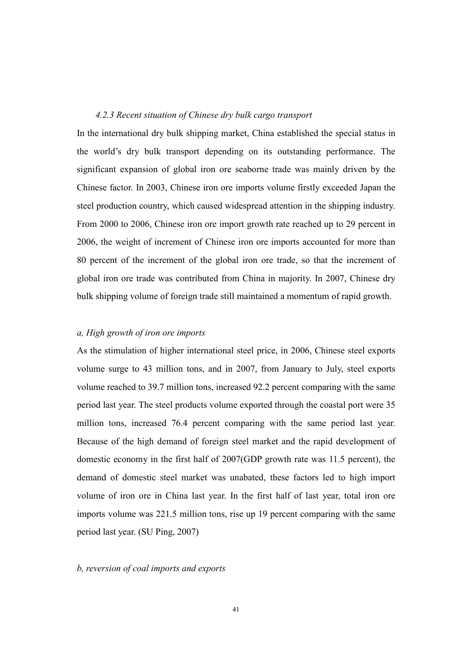#### 4.2.3 Recent situation of Chinese dry bulk cargo transport

In the international dry bulk shipping market, China established the special status in the world's dry bulk transport depending on its outstanding performance. The significant expansion of global iron ore seaborne trade was mainly driven by the Chinese factor. In 2003, Chinese iron ore imports volume firstly exceeded Japan the steel production country, which caused widespread attention in the shipping industry. From 2000 to 2006, Chinese iron ore import growth rate reached up to 29 percent in 2006, the weight of increment of Chinese iron ore imports accounted for more than 80 percent of the increment of the global iron ore trade, so that the increment of global iron ore trade was contributed from China in majority. In 2007, Chinese dry bulk shipping volume of foreign trade still maintained a momentum of rapid growth.

#### a, High growth of iron ore imports

As the stimulation of higher international steel price, in 2006, Chinese steel exports volume surge to 43 million tons, and in 2007, from January to July, steel exports volume reached to 39.7 million tons, increased 92.2 percent comparing with the same period last year. The steel products volume exported through the coastal port were 35 million tons, increased 76.4 percent comparing with the same period last year. Because of the high demand of foreign steel market and the rapid development of domestic economy in the first half of 2007(GDP growth rate was 11.5 percent), the demand of domestic steel market was unabated, these factors led to high import volume of iron ore in China last year. In the first half of last year, total iron ore imports volume was 221.5 million tons, rise up 19 percent comparing with the same period last year. (SU Ping, 2007)

#### b, reversion of coal imports and exports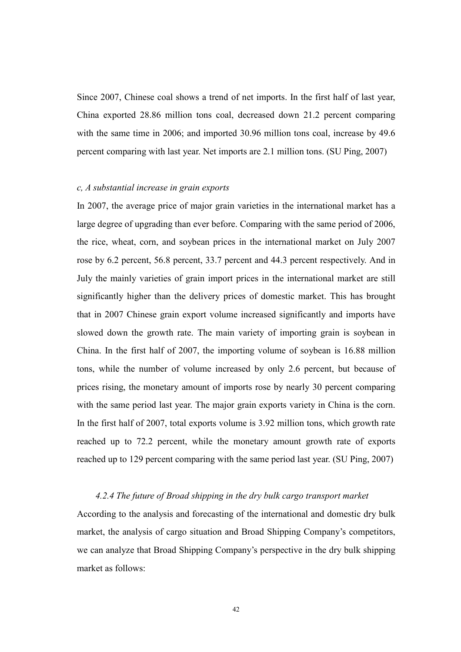Since 2007, Chinese coal shows a trend of net imports. In the first half of last year, China exported 28.86 million tons coal, decreased down 21.2 percent comparing with the same time in 2006; and imported 30.96 million tons coal, increase by 49.6 percent comparing with last year. Net imports are 2.1 million tons. (SU Ping, 2007)

#### c, A substantial increase in grain exports

In 2007, the average price of major grain varieties in the international market has a large degree of upgrading than ever before. Comparing with the same period of 2006, the rice, wheat, corn, and soybean prices in the international market on July 2007 rose by 6.2 percent, 56.8 percent, 33.7 percent and 44.3 percent respectively. And in July the mainly varieties of grain import prices in the international market are still significantly higher than the delivery prices of domestic market. This has brought that in 2007 Chinese grain export volume increased significantly and imports have slowed down the growth rate. The main variety of importing grain is soybean in China. In the first half of 2007, the importing volume of soybean is 16.88 million tons, while the number of volume increased by only 2.6 percent, but because of prices rising, the monetary amount of imports rose by nearly 30 percent comparing with the same period last year. The major grain exports variety in China is the corn. In the first half of 2007, total exports volume is 3.92 million tons, which growth rate reached up to 72.2 percent, while the monetary amount growth rate of exports reached up to 129 percent comparing with the same period last year. (SU Ping, 2007)

#### 4.2.4 The future of Broad shipping in the dry bulk cargo transport market

According to the analysis and forecasting of the international and domestic dry bulk market, the analysis of cargo situation and Broad Shipping Company's competitors, we can analyze that Broad Shipping Company's perspective in the dry bulk shipping market as follows: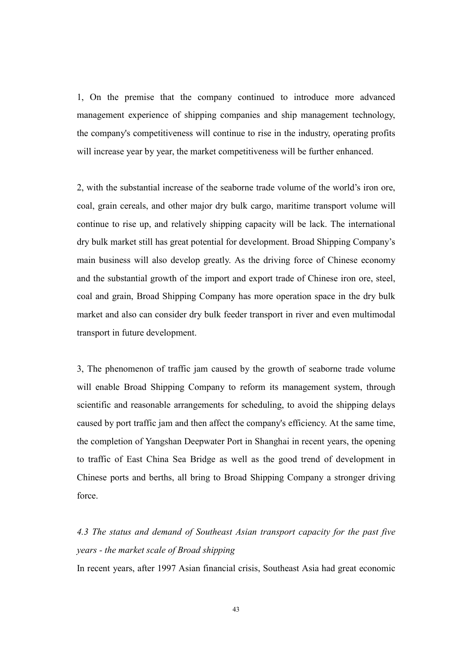1, On the premise that the company continued to introduce more advanced management experience of shipping companies and ship management technology, the company's competitiveness will continue to rise in the industry, operating profits will increase year by year, the market competitiveness will be further enhanced.

2, with the substantial increase of the seaborne trade volume of the world's iron ore, coal, grain cereals, and other major dry bulk cargo, maritime transport volume will continue to rise up, and relatively shipping capacity will be lack. The international dry bulk market still has great potential for development. Broad Shipping Company's main business will also develop greatly. As the driving force of Chinese economy and the substantial growth of the import and export trade of Chinese iron ore, steel, coal and grain, Broad Shipping Company has more operation space in the dry bulk market and also can consider dry bulk feeder transport in river and even multimodal transport in future development.

3, The phenomenon of traffic jam caused by the growth of seaborne trade volume will enable Broad Shipping Company to reform its management system, through scientific and reasonable arrangements for scheduling, to avoid the shipping delays caused by port traffic jam and then affect the company's efficiency. At the same time, the completion of Yangshan Deepwater Port in Shanghai in recent years, the opening to traffic of East China Sea Bridge as well as the good trend of development in Chinese ports and berths, all bring to Broad Shipping Company a stronger driving force.

# 4.3 The status and demand of Southeast Asian transport capacity for the past five years - the market scale of Broad shipping

In recent years, after 1997 Asian financial crisis, Southeast Asia had great economic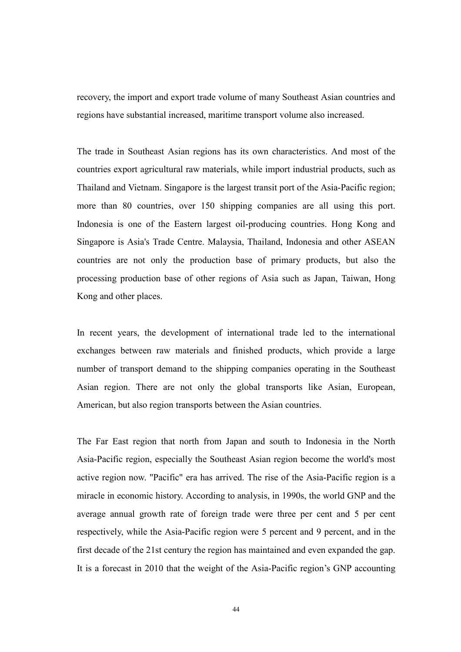recovery, the import and export trade volume of many Southeast Asian countries and regions have substantial increased, maritime transport volume also increased.

The trade in Southeast Asian regions has its own characteristics. And most of the countries export agricultural raw materials, while import industrial products, such as Thailand and Vietnam. Singapore is the largest transit port of the Asia-Pacific region; more than 80 countries, over 150 shipping companies are all using this port. Indonesia is one of the Eastern largest oil-producing countries. Hong Kong and Singapore is Asia's Trade Centre. Malaysia, Thailand, Indonesia and other ASEAN countries are not only the production base of primary products, but also the processing production base of other regions of Asia such as Japan, Taiwan, Hong Kong and other places.

In recent years, the development of international trade led to the international exchanges between raw materials and finished products, which provide a large number of transport demand to the shipping companies operating in the Southeast Asian region. There are not only the global transports like Asian, European, American, but also region transports between the Asian countries.

The Far East region that north from Japan and south to Indonesia in the North Asia-Pacific region, especially the Southeast Asian region become the world's most active region now. "Pacific" era has arrived. The rise of the Asia-Pacific region is a miracle in economic history. According to analysis, in 1990s, the world GNP and the average annual growth rate of foreign trade were three per cent and 5 per cent respectively, while the Asia-Pacific region were 5 percent and 9 percent, and in the first decade of the 21st century the region has maintained and even expanded the gap. It is a forecast in 2010 that the weight of the Asia-Pacific region's GNP accounting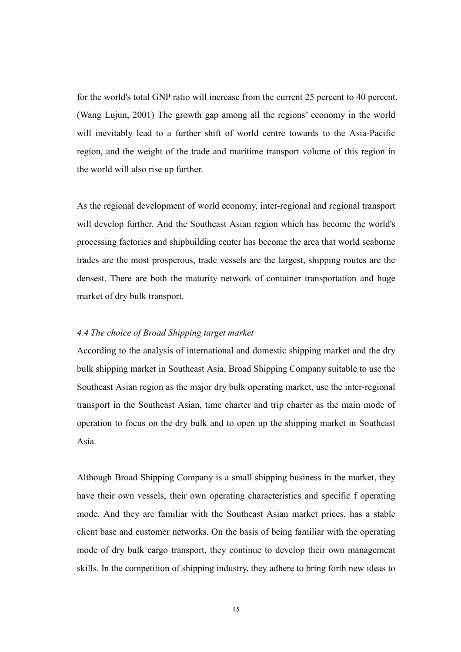for the world's total GNP ratio will increase from the current 25 percent to 40 percent. (Wang Lujun, 2001) The growth gap among all the regions' economy in the world will inevitably lead to a further shift of world centre towards to the Asia-Pacific region, and the weight of the trade and maritime transport volume of this region in the world will also rise up further.

As the regional development of world economy, inter-regional and regional transport will develop further. And the Southeast Asian region which has become the world's processing factories and shipbuilding center has become the area that world seaborne trades are the most prosperous, trade vessels are the largest, shipping routes are the densest. There are both the maturity network of container transportation and huge market of dry bulk transport.

#### 4.4 The choice of Broad Shipping target market

According to the analysis of international and domestic shipping market and the dry bulk shipping market in Southeast Asia, Broad Shipping Company suitable to use the Southeast Asian region as the major dry bulk operating market, use the inter-regional transport in the Southeast Asian, time charter and trip charter as the main mode of operation to focus on the dry bulk and to open up the shipping market in Southeast Asia.

Although Broad Shipping Company is a small shipping business in the market, they have their own vessels, their own operating characteristics and specific f operating mode. And they are familiar with the Southeast Asian market prices, has a stable client base and customer networks. On the basis of being familiar with the operating mode of dry bulk cargo transport, they continue to develop their own management skills. In the competition of shipping industry, they adhere to bring forth new ideas to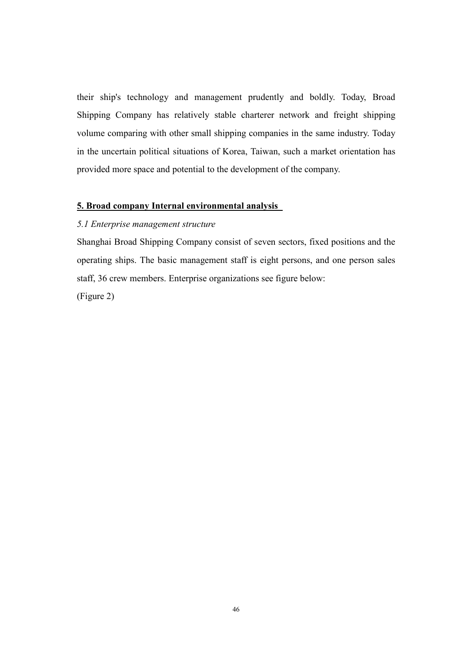their ship's technology and management prudently and boldly. Today, Broad Shipping Company has relatively stable charterer network and freight shipping volume comparing with other small shipping companies in the same industry. Today in the uncertain political situations of Korea, Taiwan, such a market orientation has provided more space and potential to the development of the company.

#### 5. Broad company Internal environmental analysis

#### 5.1 Enterprise management structure

Shanghai Broad Shipping Company consist of seven sectors, fixed positions and the operating ships. The basic management staff is eight persons, and one person sales staff, 36 crew members. Enterprise organizations see figure below:

(Figure 2)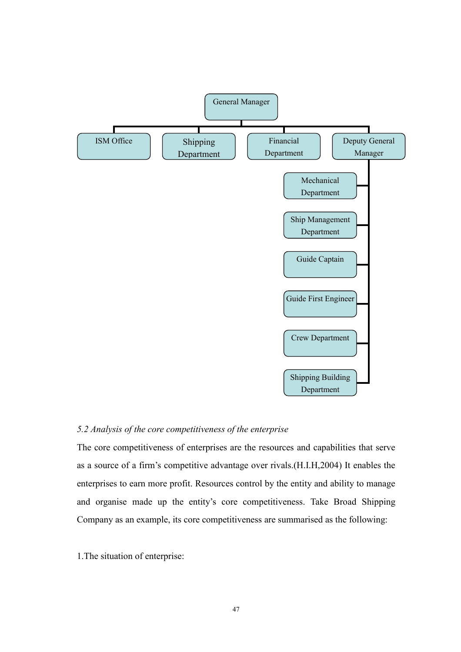

#### 5.2 Analysis of the core competitiveness of the enterprise

The core competitiveness of enterprises are the resources and capabilities that serve as a source of a firm's competitive advantage over rivals.(H.I.H,2004) It enables the enterprises to earn more profit. Resources control by the entity and ability to manage and organise made up the entity's core competitiveness. Take Broad Shipping Company as an example, its core competitiveness are summarised as the following:

1.The situation of enterprise: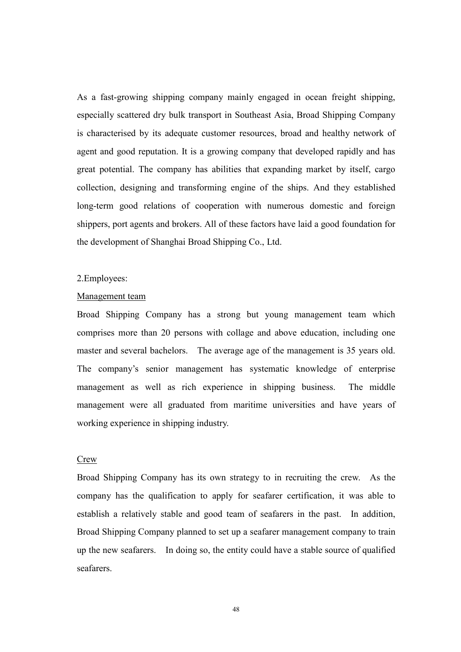As a fast-growing shipping company mainly engaged in ocean freight shipping, especially scattered dry bulk transport in Southeast Asia, Broad Shipping Company is characterised by its adequate customer resources, broad and healthy network of agent and good reputation. It is a growing company that developed rapidly and has great potential. The company has abilities that expanding market by itself, cargo collection, designing and transforming engine of the ships. And they established long-term good relations of cooperation with numerous domestic and foreign shippers, port agents and brokers. All of these factors have laid a good foundation for the development of Shanghai Broad Shipping Co., Ltd.

#### 2.Employees:

#### Management team

Broad Shipping Company has a strong but young management team which comprises more than 20 persons with collage and above education, including one master and several bachelors. The average age of the management is 35 years old. The company's senior management has systematic knowledge of enterprise management as well as rich experience in shipping business. The middle management were all graduated from maritime universities and have years of working experience in shipping industry.

#### Crew

Broad Shipping Company has its own strategy to in recruiting the crew. As the company has the qualification to apply for seafarer certification, it was able to establish a relatively stable and good team of seafarers in the past. In addition, Broad Shipping Company planned to set up a seafarer management company to train up the new seafarers. In doing so, the entity could have a stable source of qualified seafarers.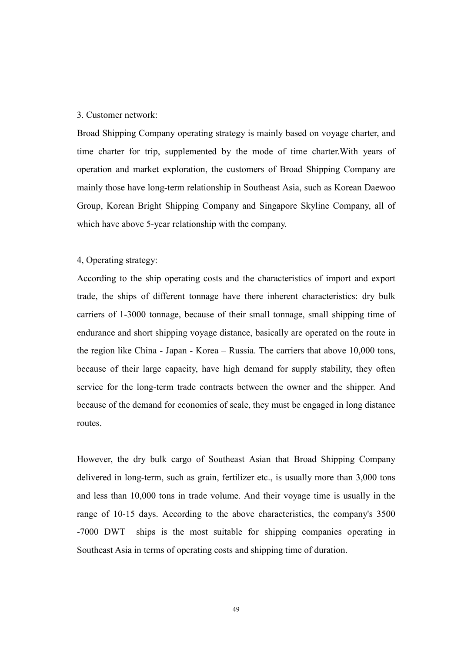#### 3. Customer network:

Broad Shipping Company operating strategy is mainly based on voyage charter, and time charter for trip, supplemented by the mode of time charter.With years of operation and market exploration, the customers of Broad Shipping Company are mainly those have long-term relationship in Southeast Asia, such as Korean Daewoo Group, Korean Bright Shipping Company and Singapore Skyline Company, all of which have above 5-year relationship with the company.

#### 4, Operating strategy:

According to the ship operating costs and the characteristics of import and export trade, the ships of different tonnage have there inherent characteristics: dry bulk carriers of 1-3000 tonnage, because of their small tonnage, small shipping time of endurance and short shipping voyage distance, basically are operated on the route in the region like China - Japan - Korea – Russia. The carriers that above 10,000 tons, because of their large capacity, have high demand for supply stability, they often service for the long-term trade contracts between the owner and the shipper. And because of the demand for economies of scale, they must be engaged in long distance routes.

However, the dry bulk cargo of Southeast Asian that Broad Shipping Company delivered in long-term, such as grain, fertilizer etc., is usually more than 3,000 tons and less than 10,000 tons in trade volume. And their voyage time is usually in the range of 10-15 days. According to the above characteristics, the company's 3500 -7000 DWT ships is the most suitable for shipping companies operating in Southeast Asia in terms of operating costs and shipping time of duration.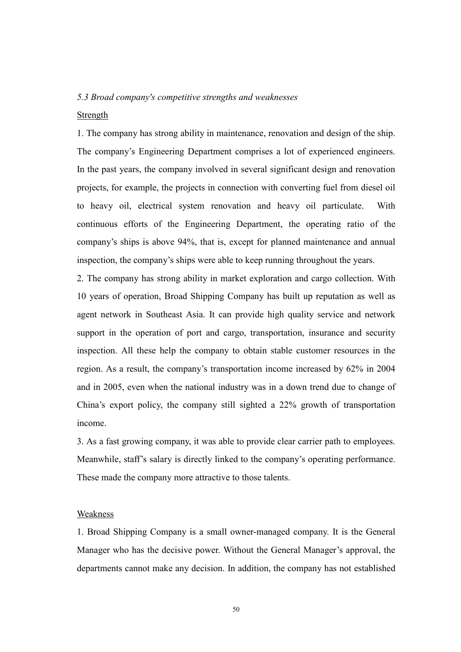#### 5.3 Broad company's competitive strengths and weaknesses

#### Strength

1. The company has strong ability in maintenance, renovation and design of the ship. The company's Engineering Department comprises a lot of experienced engineers. In the past years, the company involved in several significant design and renovation projects, for example, the projects in connection with converting fuel from diesel oil to heavy oil, electrical system renovation and heavy oil particulate. With continuous efforts of the Engineering Department, the operating ratio of the company's ships is above 94%, that is, except for planned maintenance and annual inspection, the company's ships were able to keep running throughout the years.

2. The company has strong ability in market exploration and cargo collection. With 10 years of operation, Broad Shipping Company has built up reputation as well as agent network in Southeast Asia. It can provide high quality service and network support in the operation of port and cargo, transportation, insurance and security inspection. All these help the company to obtain stable customer resources in the region. As a result, the company's transportation income increased by 62% in 2004 and in 2005, even when the national industry was in a down trend due to change of China's export policy, the company still sighted a 22% growth of transportation income.

3. As a fast growing company, it was able to provide clear carrier path to employees. Meanwhile, staff's salary is directly linked to the company's operating performance. These made the company more attractive to those talents.

#### Weakness

1. Broad Shipping Company is a small owner-managed company. It is the General Manager who has the decisive power. Without the General Manager's approval, the departments cannot make any decision. In addition, the company has not established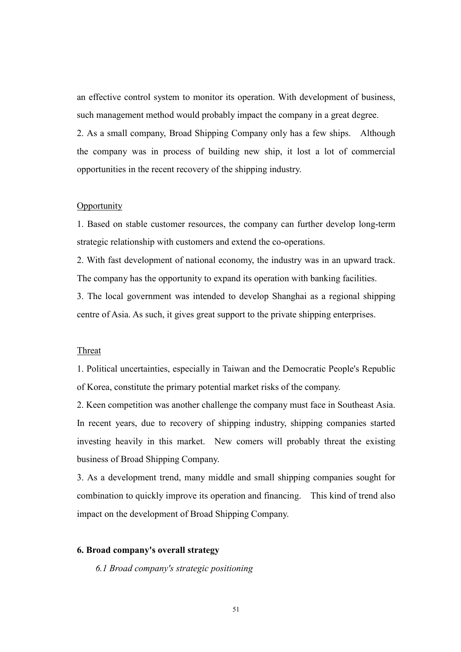an effective control system to monitor its operation. With development of business, such management method would probably impact the company in a great degree.

2. As a small company, Broad Shipping Company only has a few ships. Although the company was in process of building new ship, it lost a lot of commercial opportunities in the recent recovery of the shipping industry.

#### **Opportunity**

1. Based on stable customer resources, the company can further develop long-term strategic relationship with customers and extend the co-operations.

2. With fast development of national economy, the industry was in an upward track. The company has the opportunity to expand its operation with banking facilities.

3. The local government was intended to develop Shanghai as a regional shipping centre of Asia. As such, it gives great support to the private shipping enterprises.

#### Threat

1. Political uncertainties, especially in Taiwan and the Democratic People's Republic of Korea, constitute the primary potential market risks of the company.

2. Keen competition was another challenge the company must face in Southeast Asia. In recent years, due to recovery of shipping industry, shipping companies started investing heavily in this market. New comers will probably threat the existing business of Broad Shipping Company.

3. As a development trend, many middle and small shipping companies sought for combination to quickly improve its operation and financing. This kind of trend also impact on the development of Broad Shipping Company.

#### 6. Broad company's overall strategy

6.1 Broad company's strategic positioning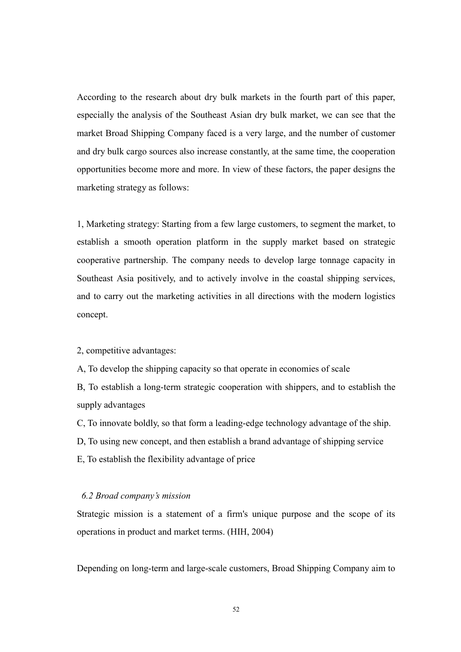According to the research about dry bulk markets in the fourth part of this paper, especially the analysis of the Southeast Asian dry bulk market, we can see that the market Broad Shipping Company faced is a very large, and the number of customer and dry bulk cargo sources also increase constantly, at the same time, the cooperation opportunities become more and more. In view of these factors, the paper designs the marketing strategy as follows:

1, Marketing strategy: Starting from a few large customers, to segment the market, to establish a smooth operation platform in the supply market based on strategic cooperative partnership. The company needs to develop large tonnage capacity in Southeast Asia positively, and to actively involve in the coastal shipping services, and to carry out the marketing activities in all directions with the modern logistics concept.

#### 2, competitive advantages:

A, To develop the shipping capacity so that operate in economies of scale

B, To establish a long-term strategic cooperation with shippers, and to establish the supply advantages

C, To innovate boldly, so that form a leading-edge technology advantage of the ship.

D, To using new concept, and then establish a brand advantage of shipping service

E, To establish the flexibility advantage of price

#### 6.2 Broad company's mission

Strategic mission is a statement of a firm's unique purpose and the scope of its operations in product and market terms. (HIH, 2004)

Depending on long-term and large-scale customers, Broad Shipping Company aim to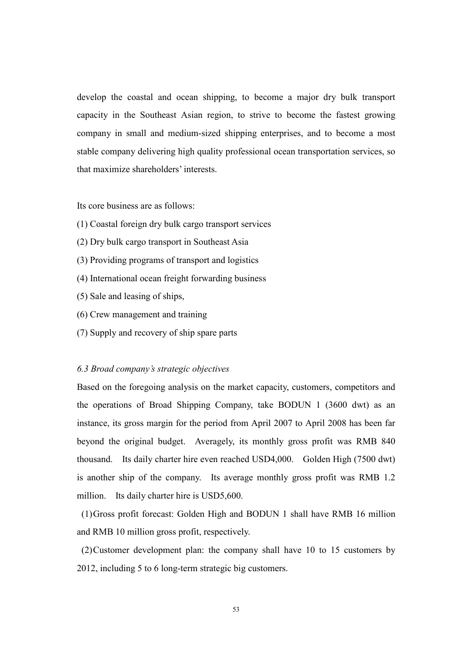develop the coastal and ocean shipping, to become a major dry bulk transport capacity in the Southeast Asian region, to strive to become the fastest growing company in small and medium-sized shipping enterprises, and to become a most stable company delivering high quality professional ocean transportation services, so that maximize shareholders' interests.

Its core business are as follows:

- (1) Coastal foreign dry bulk cargo transport services
- (2) Dry bulk cargo transport in Southeast Asia
- (3) Providing programs of transport and logistics
- (4) International ocean freight forwarding business
- (5) Sale and leasing of ships,
- (6) Crew management and training
- (7) Supply and recovery of ship spare parts

#### 6.3 Broad company's strategic objectives

Based on the foregoing analysis on the market capacity, customers, competitors and the operations of Broad Shipping Company, take BODUN 1 (3600 dwt) as an instance, its gross margin for the period from April 2007 to April 2008 has been far beyond the original budget. Averagely, its monthly gross profit was RMB 840 thousand. Its daily charter hire even reached USD4,000. Golden High (7500 dwt) is another ship of the company. Its average monthly gross profit was RMB 1.2 million. Its daily charter hire is USD5,600.

 (1) Gross profit forecast: Golden High and BODUN 1 shall have RMB 16 million and RMB 10 million gross profit, respectively.

 (2) Customer development plan: the company shall have 10 to 15 customers by 2012, including 5 to 6 long-term strategic big customers.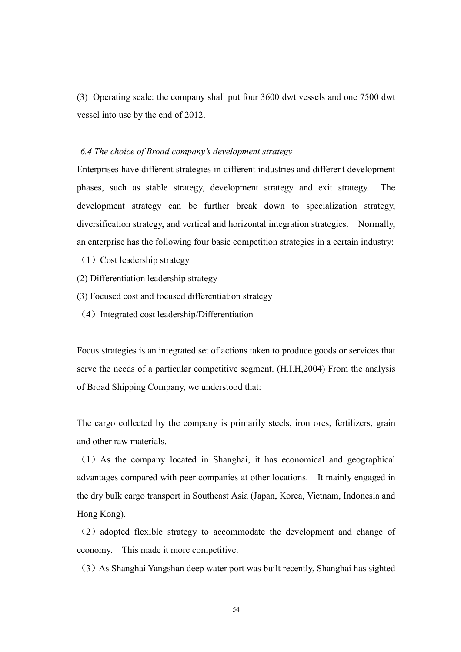(3) Operating scale: the company shall put four 3600 dwt vessels and one 7500 dwt vessel into use by the end of 2012.

#### 6.4 The choice of Broad company's development strategy

Enterprises have different strategies in different industries and different development phases, such as stable strategy, development strategy and exit strategy. The development strategy can be further break down to specialization strategy, diversification strategy, and vertical and horizontal integration strategies. Normally, an enterprise has the following four basic competition strategies in a certain industry:

- $(1)$  Cost leadership strategy
- (2) Differentiation leadership strategy
- (3) Focused cost and focused differentiation strategy
- (4)Integrated cost leadership/Differentiation

Focus strategies is an integrated set of actions taken to produce goods or services that serve the needs of a particular competitive segment. (H.I.H,2004) From the analysis of Broad Shipping Company, we understood that:

The cargo collected by the company is primarily steels, iron ores, fertilizers, grain and other raw materials.

(1)As the company located in Shanghai, it has economical and geographical advantages compared with peer companies at other locations. It mainly engaged in the dry bulk cargo transport in Southeast Asia (Japan, Korea, Vietnam, Indonesia and Hong Kong).

(2)adopted flexible strategy to accommodate the development and change of economy. This made it more competitive.

(3)As Shanghai Yangshan deep water port was built recently, Shanghai has sighted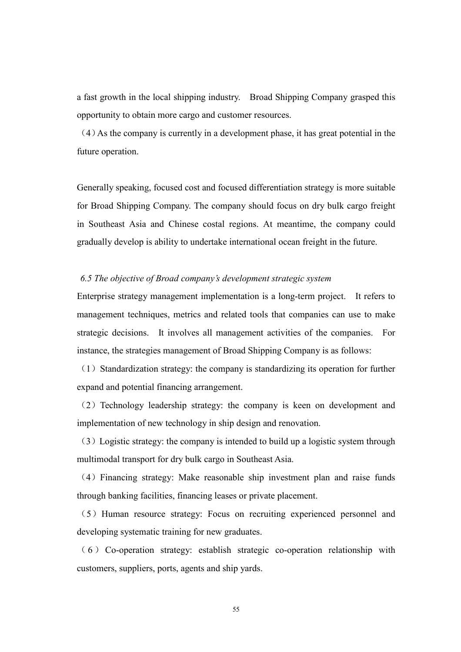a fast growth in the local shipping industry. Broad Shipping Company grasped this opportunity to obtain more cargo and customer resources.

(4)As the company is currently in a development phase, it has great potential in the future operation.

Generally speaking, focused cost and focused differentiation strategy is more suitable for Broad Shipping Company. The company should focus on dry bulk cargo freight in Southeast Asia and Chinese costal regions. At meantime, the company could gradually develop is ability to undertake international ocean freight in the future.

#### 6.5 The objective of Broad company's development strategic system

Enterprise strategy management implementation is a long-term project. It refers to management techniques, metrics and related tools that companies can use to make strategic decisions. It involves all management activities of the companies. For instance, the strategies management of Broad Shipping Company is as follows:

 $(1)$  Standardization strategy: the company is standardizing its operation for further expand and potential financing arrangement.

(2) Technology leadership strategy: the company is keen on development and implementation of new technology in ship design and renovation.

(3)Logistic strategy: the company is intended to build up a logistic system through multimodal transport for dry bulk cargo in Southeast Asia.

(4)Financing strategy: Make reasonable ship investment plan and raise funds through banking facilities, financing leases or private placement.

(5)Human resource strategy: Focus on recruiting experienced personnel and developing systematic training for new graduates.

( 6 ) Co-operation strategy: establish strategic co-operation relationship with customers, suppliers, ports, agents and ship yards.

55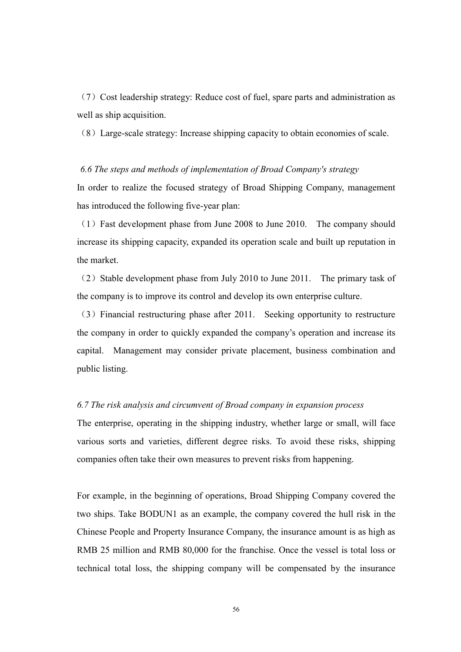(7)Cost leadership strategy: Reduce cost of fuel, spare parts and administration as well as ship acquisition.

(8)Large-scale strategy: Increase shipping capacity to obtain economies of scale.

#### 6.6 The steps and methods of implementation of Broad Company's strategy

In order to realize the focused strategy of Broad Shipping Company, management has introduced the following five-year plan:

(1)Fast development phase from June 2008 to June 2010. The company should increase its shipping capacity, expanded its operation scale and built up reputation in the market.

(2) Stable development phase from July 2010 to June 2011. The primary task of the company is to improve its control and develop its own enterprise culture.

(3)Financial restructuring phase after 2011. Seeking opportunity to restructure the company in order to quickly expanded the company's operation and increase its capital. Management may consider private placement, business combination and public listing.

#### 6.7 The risk analysis and circumvent of Broad company in expansion process

The enterprise, operating in the shipping industry, whether large or small, will face various sorts and varieties, different degree risks. To avoid these risks, shipping companies often take their own measures to prevent risks from happening.

For example, in the beginning of operations, Broad Shipping Company covered the two ships. Take BODUN1 as an example, the company covered the hull risk in the Chinese People and Property Insurance Company, the insurance amount is as high as RMB 25 million and RMB 80,000 for the franchise. Once the vessel is total loss or technical total loss, the shipping company will be compensated by the insurance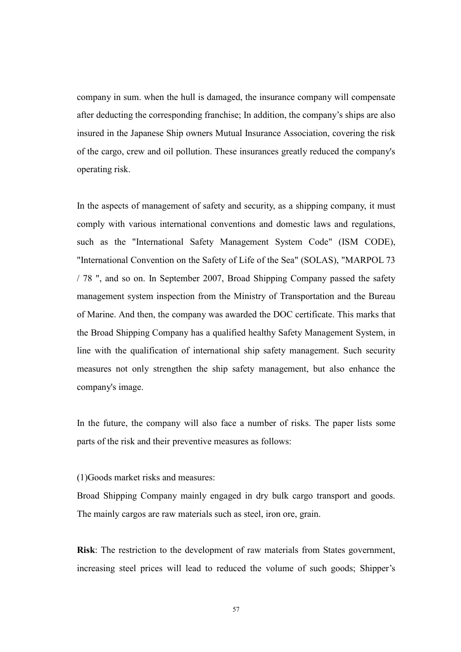company in sum. when the hull is damaged, the insurance company will compensate after deducting the corresponding franchise; In addition, the company's ships are also insured in the Japanese Ship owners Mutual Insurance Association, covering the risk of the cargo, crew and oil pollution. These insurances greatly reduced the company's operating risk.

In the aspects of management of safety and security, as a shipping company, it must comply with various international conventions and domestic laws and regulations, such as the "International Safety Management System Code" (ISM CODE), "International Convention on the Safety of Life of the Sea" (SOLAS), "MARPOL 73 / 78 ", and so on. In September 2007, Broad Shipping Company passed the safety management system inspection from the Ministry of Transportation and the Bureau of Marine. And then, the company was awarded the DOC certificate. This marks that the Broad Shipping Company has a qualified healthy Safety Management System, in line with the qualification of international ship safety management. Such security measures not only strengthen the ship safety management, but also enhance the company's image.

In the future, the company will also face a number of risks. The paper lists some parts of the risk and their preventive measures as follows:

(1)Goods market risks and measures:

Broad Shipping Company mainly engaged in dry bulk cargo transport and goods. The mainly cargos are raw materials such as steel, iron ore, grain.

Risk: The restriction to the development of raw materials from States government, increasing steel prices will lead to reduced the volume of such goods; Shipper's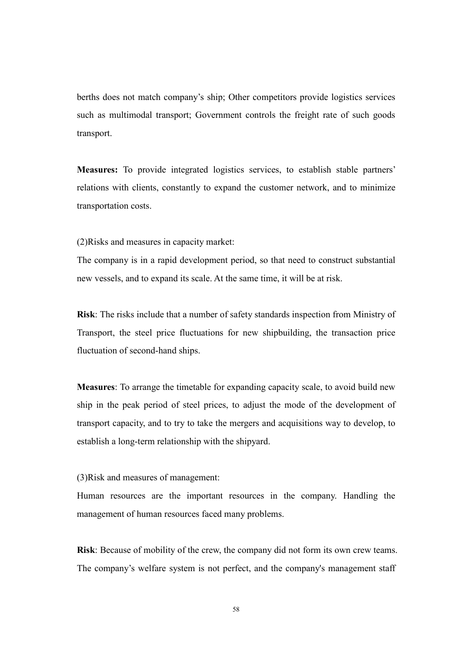berths does not match company's ship; Other competitors provide logistics services such as multimodal transport; Government controls the freight rate of such goods transport.

Measures: To provide integrated logistics services, to establish stable partners' relations with clients, constantly to expand the customer network, and to minimize transportation costs.

(2)Risks and measures in capacity market:

The company is in a rapid development period, so that need to construct substantial new vessels, and to expand its scale. At the same time, it will be at risk.

Risk: The risks include that a number of safety standards inspection from Ministry of Transport, the steel price fluctuations for new shipbuilding, the transaction price fluctuation of second-hand ships.

Measures: To arrange the timetable for expanding capacity scale, to avoid build new ship in the peak period of steel prices, to adjust the mode of the development of transport capacity, and to try to take the mergers and acquisitions way to develop, to establish a long-term relationship with the shipyard.

(3)Risk and measures of management:

Human resources are the important resources in the company. Handling the management of human resources faced many problems.

Risk: Because of mobility of the crew, the company did not form its own crew teams. The company's welfare system is not perfect, and the company's management staff

58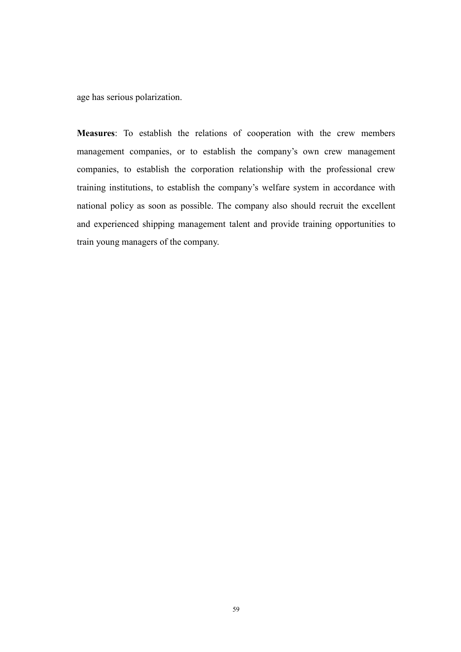age has serious polarization.

Measures: To establish the relations of cooperation with the crew members management companies, or to establish the company's own crew management companies, to establish the corporation relationship with the professional crew training institutions, to establish the company's welfare system in accordance with national policy as soon as possible. The company also should recruit the excellent and experienced shipping management talent and provide training opportunities to train young managers of the company.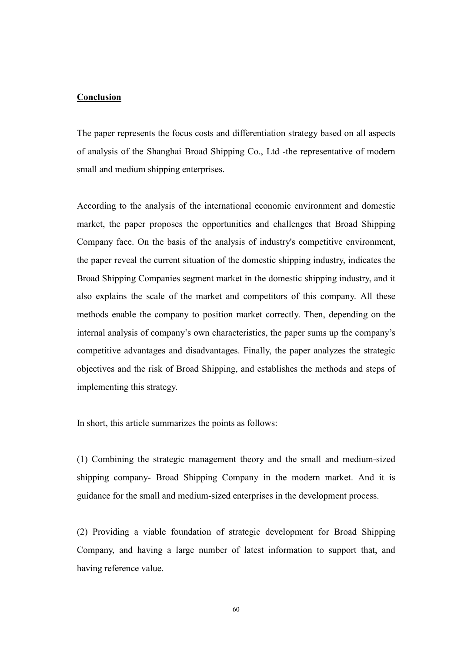#### Conclusion

The paper represents the focus costs and differentiation strategy based on all aspects of analysis of the Shanghai Broad Shipping Co., Ltd -the representative of modern small and medium shipping enterprises.

According to the analysis of the international economic environment and domestic market, the paper proposes the opportunities and challenges that Broad Shipping Company face. On the basis of the analysis of industry's competitive environment, the paper reveal the current situation of the domestic shipping industry, indicates the Broad Shipping Companies segment market in the domestic shipping industry, and it also explains the scale of the market and competitors of this company. All these methods enable the company to position market correctly. Then, depending on the internal analysis of company's own characteristics, the paper sums up the company's competitive advantages and disadvantages. Finally, the paper analyzes the strategic objectives and the risk of Broad Shipping, and establishes the methods and steps of implementing this strategy.

In short, this article summarizes the points as follows:

(1) Combining the strategic management theory and the small and medium-sized shipping company- Broad Shipping Company in the modern market. And it is guidance for the small and medium-sized enterprises in the development process.

(2) Providing a viable foundation of strategic development for Broad Shipping Company, and having a large number of latest information to support that, and having reference value.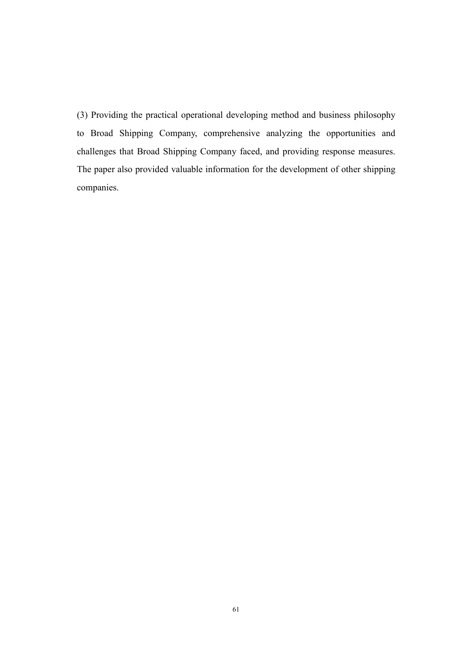(3) Providing the practical operational developing method and business philosophy to Broad Shipping Company, comprehensive analyzing the opportunities and challenges that Broad Shipping Company faced, and providing response measures. The paper also provided valuable information for the development of other shipping companies.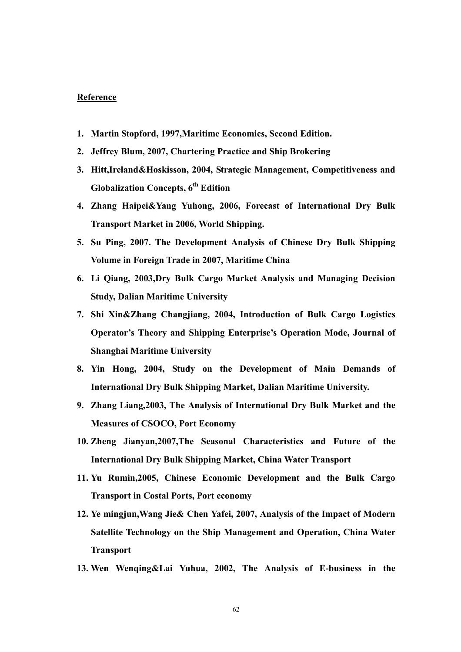#### Reference

- 1. Martin Stopford, 1997,Maritime Economics, Second Edition.
- 2. Jeffrey Blum, 2007, Chartering Practice and Ship Brokering
- 3. Hitt,Ireland&Hoskisson, 2004, Strategic Management, Competitiveness and Globalization Concepts,  $6<sup>th</sup>$  Edition
- 4. Zhang Haipei&Yang Yuhong, 2006, Forecast of International Dry Bulk Transport Market in 2006, World Shipping.
- 5. Su Ping, 2007. The Development Analysis of Chinese Dry Bulk Shipping Volume in Foreign Trade in 2007, Maritime China
- 6. Li Qiang, 2003,Dry Bulk Cargo Market Analysis and Managing Decision Study, Dalian Maritime University
- 7. Shi Xin&Zhang Changjiang, 2004, Introduction of Bulk Cargo Logistics Operator's Theory and Shipping Enterprise's Operation Mode, Journal of Shanghai Maritime University
- 8. Yin Hong, 2004, Study on the Development of Main Demands of International Dry Bulk Shipping Market, Dalian Maritime University.
- 9. Zhang Liang,2003, The Analysis of International Dry Bulk Market and the Measures of CSOCO, Port Economy
- 10. Zheng Jianyan,2007,The Seasonal Characteristics and Future of the International Dry Bulk Shipping Market, China Water Transport
- 11. Yu Rumin,2005, Chinese Economic Development and the Bulk Cargo Transport in Costal Ports, Port economy
- 12. Ye mingjun,Wang Jie& Chen Yafei, 2007, Analysis of the Impact of Modern Satellite Technology on the Ship Management and Operation, China Water Transport
- 13. Wen Wenqing&Lai Yuhua, 2002, The Analysis of E-business in the